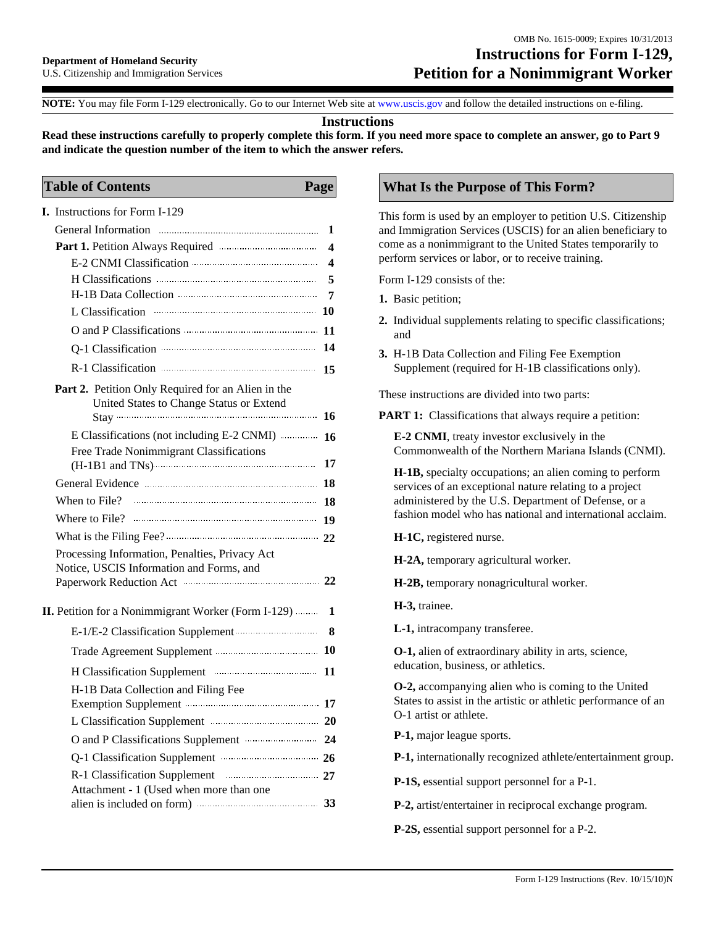# **Instructions for Form I-129, Petition for a Nonimmigrant Worker**

**NOTE:** You may file Form I-129 electronically. Go to our Internet Web site at www.uscis.gov and follow the detailed instructions on e-filing.

#### **Instructions**

**Read these instructions carefully to properly complete this form. If you need more space to complete an answer, go to Part 9 and indicate the question number of the item to which the answer refers.**

#### **Table of Contents Page**

| <b>I.</b> Instructions for Form I-129                                                                                                                                                                                          |    |
|--------------------------------------------------------------------------------------------------------------------------------------------------------------------------------------------------------------------------------|----|
|                                                                                                                                                                                                                                | 1  |
|                                                                                                                                                                                                                                | 4  |
|                                                                                                                                                                                                                                | 4  |
|                                                                                                                                                                                                                                | 5  |
|                                                                                                                                                                                                                                | 7  |
| L Classification                                                                                                                                                                                                               |    |
|                                                                                                                                                                                                                                |    |
| Q-1 Classification manufactured and property of the state of the state of the state of the state of the state of the state of the state of the state of the state of the state of the state of the state of the state of the s | 14 |
|                                                                                                                                                                                                                                | 15 |
| Part 2. Petition Only Required for an Alien in the                                                                                                                                                                             |    |
| United States to Change Status or Extend                                                                                                                                                                                       |    |
|                                                                                                                                                                                                                                | 16 |
| E Classifications (not including E-2 CNMI)                                                                                                                                                                                     | 16 |
| Free Trade Nonimmigrant Classifications                                                                                                                                                                                        | 17 |
|                                                                                                                                                                                                                                | 18 |
| When to File?                                                                                                                                                                                                                  | 18 |
|                                                                                                                                                                                                                                | 19 |
|                                                                                                                                                                                                                                |    |
| Processing Information, Penalties, Privacy Act                                                                                                                                                                                 |    |
| Notice, USCIS Information and Forms, and                                                                                                                                                                                       |    |
|                                                                                                                                                                                                                                | 22 |
| <b>II.</b> Petition for a Nonimmigrant Worker (Form I-129)                                                                                                                                                                     | 1  |
| E-1/E-2 Classification Supplement manufacturers                                                                                                                                                                                | 8  |
|                                                                                                                                                                                                                                |    |
|                                                                                                                                                                                                                                | 11 |
| H-1B Data Collection and Filing Fee                                                                                                                                                                                            |    |
| Exemption Supplement manufactured 17                                                                                                                                                                                           |    |
| L Classification Supplement Manual Classification Supplement                                                                                                                                                                   | 20 |
| O and P Classifications Supplement manufacturers 24                                                                                                                                                                            |    |
| Q-1 Classification Supplement manufacturers 26                                                                                                                                                                                 |    |
|                                                                                                                                                                                                                                |    |
| Attachment - 1 (Used when more than one                                                                                                                                                                                        |    |
|                                                                                                                                                                                                                                | 33 |

# **What Is the Purpose of This Form?**

This form is used by an employer to petition U.S. Citizenship and Immigration Services (USCIS) for an alien beneficiary to come as a nonimmigrant to the United States temporarily to perform services or labor, or to receive training.

Form I-129 consists of the:

- **1.** Basic petition;
- **2.** Individual supplements relating to specific classifications; and
- **3.** H-1B Data Collection and Filing Fee Exemption Supplement (required for H-1B classifications only).

These instructions are divided into two parts:

**PART 1:** Classifications that always require a petition:

**E-2 CNMI**, treaty investor exclusively in the Commonwealth of the Northern Mariana Islands (CNMI).

**H-1B,** specialty occupations; an alien coming to perform services of an exceptional nature relating to a project administered by the U.S. Department of Defense, or a fashion model who has national and international acclaim.

**H-1C,** registered nurse.

**H-2A,** temporary agricultural worker.

**H-2B,** temporary nonagricultural worker.

**H-3,** trainee.

**L-1,** intracompany transferee.

**O-1,** alien of extraordinary ability in arts, science, education, business, or athletics.

**O-2,** accompanying alien who is coming to the United States to assist in the artistic or athletic performance of an O-1 artist or athlete.

**P-1,** major league sports.

**P-1,** internationally recognized athlete/entertainment group.

**P-1S,** essential support personnel for a P-1.

**P-2,** artist/entertainer in reciprocal exchange program.

**P-2S,** essential support personnel for a P-2.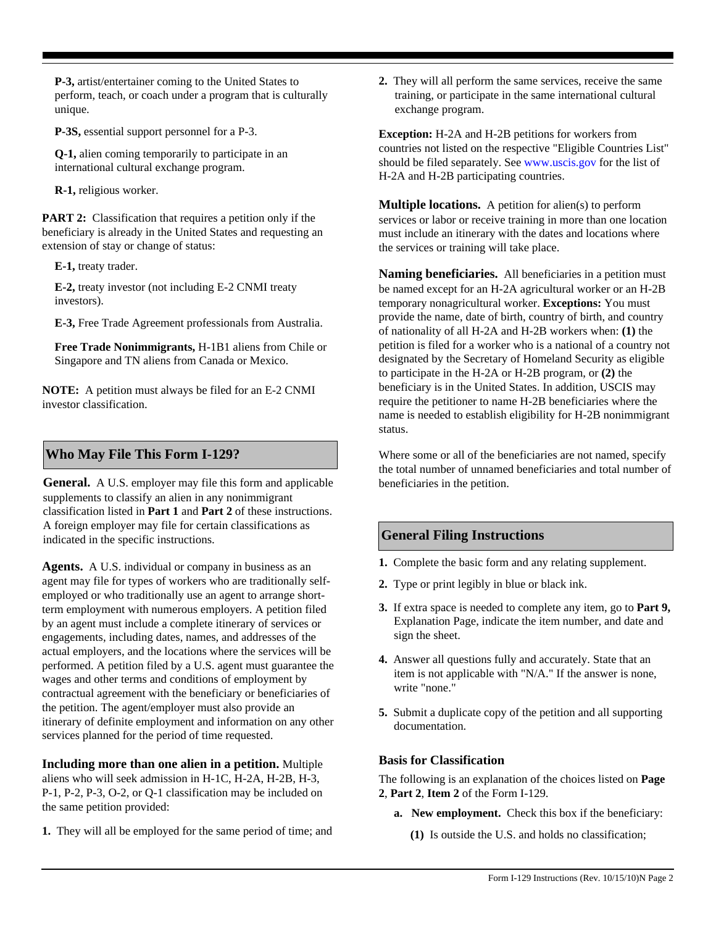**P-3,** artist/entertainer coming to the United States to perform, teach, or coach under a program that is culturally unique.

**P-3S,** essential support personnel for a P-3.

**Q-1,** alien coming temporarily to participate in an international cultural exchange program.

**R-1,** religious worker.

**PART 2:** Classification that requires a petition only if the beneficiary is already in the United States and requesting an extension of stay or change of status:

**E-1,** treaty trader.

**E-2,** treaty investor (not including E-2 CNMI treaty investors).

**E-3,** Free Trade Agreement professionals from Australia.

**Free Trade Nonimmigrants,** H-1B1 aliens from Chile or Singapore and TN aliens from Canada or Mexico.

**NOTE:** A petition must always be filed for an E-2 CNMI investor classification.

### **Who May File This Form I-129?**

**General.** A U.S. employer may file this form and applicable supplements to classify an alien in any nonimmigrant classification listed in **Part 1** and **Part 2** of these instructions. A foreign employer may file for certain classifications as indicated in the specific instructions.

**Agents.** A U.S. individual or company in business as an agent may file for types of workers who are traditionally selfemployed or who traditionally use an agent to arrange shortterm employment with numerous employers. A petition filed by an agent must include a complete itinerary of services or engagements, including dates, names, and addresses of the actual employers, and the locations where the services will be performed. A petition filed by a U.S. agent must guarantee the wages and other terms and conditions of employment by contractual agreement with the beneficiary or beneficiaries of the petition. The agent/employer must also provide an itinerary of definite employment and information on any other services planned for the period of time requested.

**Including more than one alien in a petition.** Multiple aliens who will seek admission in H-1C, H-2A, H-2B, H-3, P-1, P-2, P-3, O-2, or Q-1 classification may be included on the same petition provided:

**1.** They will all be employed for the same period of time; and

**2.** They will all perform the same services, receive the same training, or participate in the same international cultural exchange program.

**Exception:** H-2A and H-2B petitions for workers from countries not listed on the respective "Eligible Countries List" should be filed separately. See www.uscis.gov for the list of H-2A and H-2B participating countries.

**Multiple locations.** A petition for alien(s) to perform services or labor or receive training in more than one location must include an itinerary with the dates and locations where the services or training will take place.

**Naming beneficiaries.** All beneficiaries in a petition must be named except for an H-2A agricultural worker or an H-2B temporary nonagricultural worker. **Exceptions:** You must provide the name, date of birth, country of birth, and country of nationality of all H-2A and H-2B workers when: **(1)** the petition is filed for a worker who is a national of a country not designated by the Secretary of Homeland Security as eligible to participate in the H-2A or H-2B program, or **(2)** the beneficiary is in the United States. In addition, USCIS may require the petitioner to name H-2B beneficiaries where the name is needed to establish eligibility for H-2B nonimmigrant status.

Where some or all of the beneficiaries are not named, specify the total number of unnamed beneficiaries and total number of beneficiaries in the petition.

# **General Filing Instructions**

- **1.** Complete the basic form and any relating supplement.
- **2.** Type or print legibly in blue or black ink.
- **3.** If extra space is needed to complete any item, go to **Part 9,** Explanation Page, indicate the item number, and date and sign the sheet.
- **4.** Answer all questions fully and accurately. State that an item is not applicable with "N/A." If the answer is none, write "none."
- **5.** Submit a duplicate copy of the petition and all supporting documentation.

### **Basis for Classification**

The following is an explanation of the choices listed on **Page 2**, **Part 2**, **Item 2** of the Form I-129.

- **a. New employment.** Check this box if the beneficiary:
	- **(1)** Is outside the U.S. and holds no classification;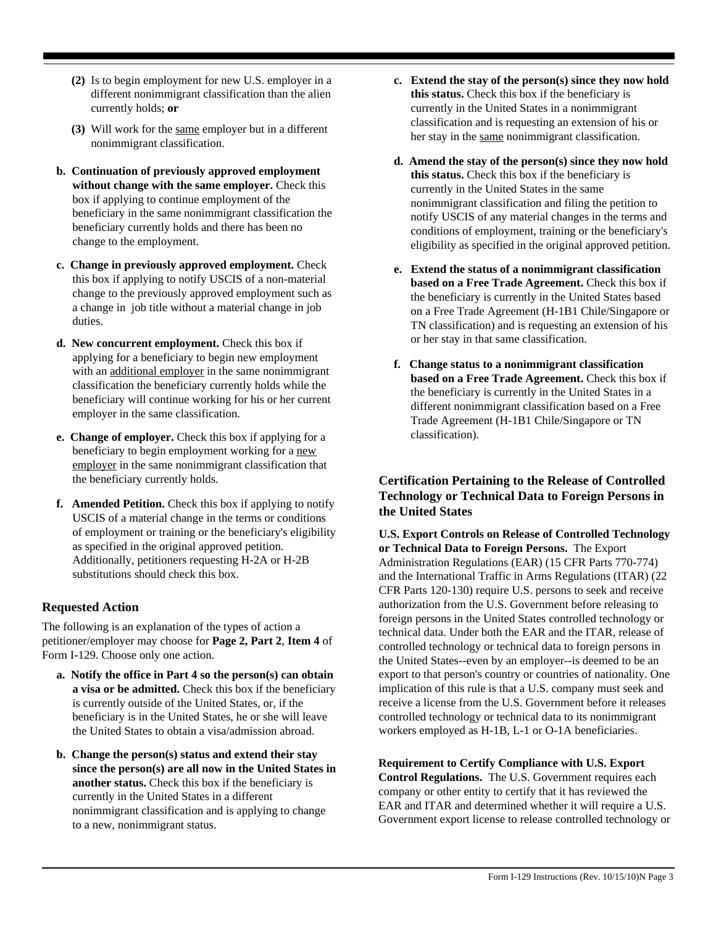- **(2)** Is to begin employment for new U.S. employer in a different nonimmigrant classification than the alien currently holds; **or**
- **(3)** Will work for the same employer but in a different nonimmigrant classification.
- **b. Continuation of previously approved employment without change with the same employer.** Check this box if applying to continue employment of the beneficiary in the same nonimmigrant classification the beneficiary currently holds and there has been no change to the employment.
- **c. Change in previously approved employment.** Check this box if applying to notify USCIS of a non-material change to the previously approved employment such as a change in job title without a material change in job duties.
- **d. New concurrent employment.** Check this box if applying for a beneficiary to begin new employment with an additional employer in the same nonimmigrant classification the beneficiary currently holds while the beneficiary will continue working for his or her current employer in the same classification.
- **e. Change of employer.** Check this box if applying for a beneficiary to begin employment working for a new employer in the same nonimmigrant classification that the beneficiary currently holds.
- **f. Amended Petition.** Check this box if applying to notify USCIS of a material change in the terms or conditions of employment or training or the beneficiary's eligibility as specified in the original approved petition. Additionally, petitioners requesting H-2A or H-2B substitutions should check this box.

### **Requested Action**

The following is an explanation of the types of action a petitioner/employer may choose for **Page 2, Part 2**, **Item 4** of Form I-129. Choose only one action.

- **a. Notify the office in Part 4 so the person(s) can obtain a visa or be admitted.** Check this box if the beneficiary is currently outside of the United States, or, if the beneficiary is in the United States, he or she will leave the United States to obtain a visa/admission abroad.
- **b. Change the person(s) status and extend their stay since the person(s) are all now in the United States in another status.** Check this box if the beneficiary is currently in the United States in a different nonimmigrant classification and is applying to change to a new, nonimmigrant status.
- **c. Extend the stay of the person(s) since they now hold this status.** Check this box if the beneficiary is currently in the United States in a nonimmigrant classification and is requesting an extension of his or her stay in the same nonimmigrant classification.
- **d. Amend the stay of the person(s) since they now hold this status.** Check this box if the beneficiary is currently in the United States in the same nonimmigrant classification and filing the petition to notify USCIS of any material changes in the terms and conditions of employment, training or the beneficiary's eligibility as specified in the original approved petition.
- **e. Extend the status of a nonimmigrant classification based on a Free Trade Agreement.** Check this box if the beneficiary is currently in the United States based on a Free Trade Agreement (H-1B1 Chile/Singapore or TN classification) and is requesting an extension of his or her stay in that same classification.
- **f. Change status to a nonimmigrant classification based on a Free Trade Agreement.** Check this box if the beneficiary is currently in the United States in a different nonimmigrant classification based on a Free Trade Agreement (H-1B1 Chile/Singapore or TN classification).

### **Certification Pertaining to the Release of Controlled Technology or Technical Data to Foreign Persons in the United States**

**U.S. Export Controls on Release of Controlled Technology or Technical Data to Foreign Persons.** The Export Administration Regulations (EAR) (15 CFR Parts 770-774) and the International Traffic in Arms Regulations (ITAR) (22 CFR Parts 120-130) require U.S. persons to seek and receive authorization from the U.S. Government before releasing to foreign persons in the United States controlled technology or technical data. Under both the EAR and the ITAR, release of controlled technology or technical data to foreign persons in the United States--even by an employer--is deemed to be an export to that person's country or countries of nationality. One implication of this rule is that a U.S. company must seek and receive a license from the U.S. Government before it releases controlled technology or technical data to its nonimmigrant workers employed as H-1B, L-1 or O-1A beneficiaries.

**Requirement to Certify Compliance with U.S. Export Control Regulations.** The U.S. Government requires each company or other entity to certify that it has reviewed the EAR and ITAR and determined whether it will require a U.S. Government export license to release controlled technology or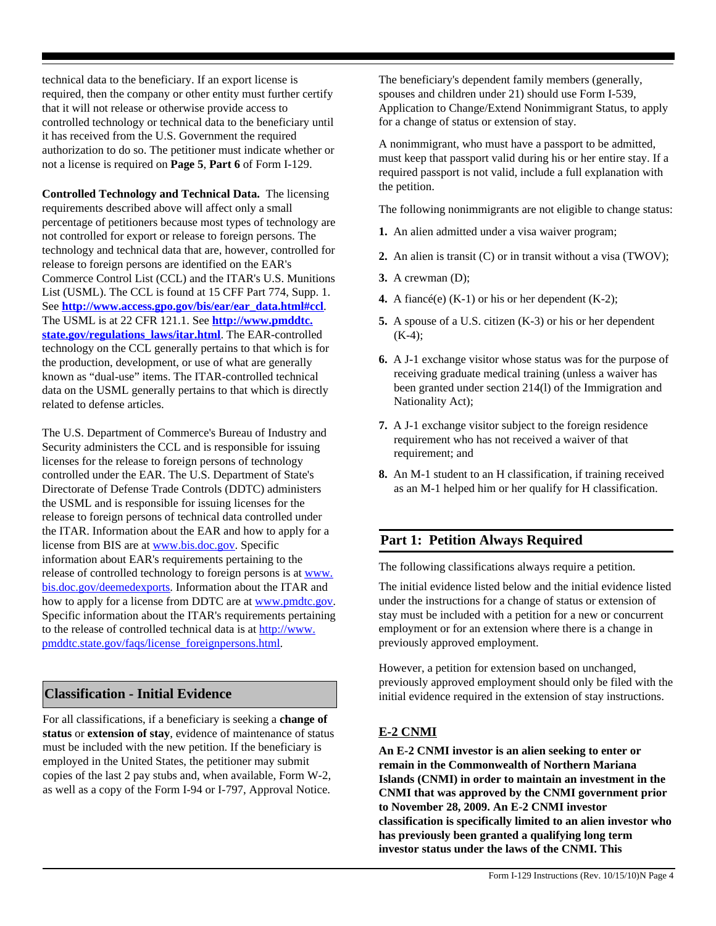technical data to the beneficiary. If an export license is required, then the company or other entity must further certify that it will not release or otherwise provide access to controlled technology or technical data to the beneficiary until it has received from the U.S. Government the required authorization to do so. The petitioner must indicate whether or not a license is required on **Page 5**, **Part 6** of Form I-129.

**Controlled Technology and Technical Data.** The licensing requirements described above will affect only a small percentage of petitioners because most types of technology are not controlled for export or release to foreign persons. The technology and technical data that are, however, controlled for release to foreign persons are identified on the EAR's Commerce Control List (CCL) and the ITAR's U.S. Munitions List (USML). The CCL is found at 15 CFF Part 774, Supp. 1. See **[http://www.access.gpo.gov/bis/ear/ear\\_data.html#ccl](http://www.access.gpo.gov/bis/ear/ear_data.html#ccl)**. The USML is at 22 CFR 121.1. See **[http://www.pmddtc.](http://www.pmddtc.state.gov/regulations_laws/itar.html) [state.gov/regulations\\_laws/itar.html](http://www.pmddtc.state.gov/regulations_laws/itar.html)**. The EAR-controlled technology on the CCL generally pertains to that which is for the production, development, or use of what are generally known as "dual-use" items. The ITAR-controlled technical data on the USML generally pertains to that which is directly related to defense articles.

The U.S. Department of Commerce's Bureau of Industry and Security administers the CCL and is responsible for issuing licenses for the release to foreign persons of technology controlled under the EAR. The U.S. Department of State's Directorate of Defense Trade Controls (DDTC) administers the USML and is responsible for issuing licenses for the release to foreign persons of technical data controlled under the ITAR. Information about the EAR and how to apply for a license from BIS are at [www.bis.doc.gov.](http://www.bis.doc.gov) Specific information about EAR's requirements pertaining to the release of controlled technology to foreign persons is at [www.](http://www.bis.doc.gov/deemedexports) [bis.doc.gov/deemedexports](http://www.bis.doc.gov/deemedexports). Information about the ITAR and how to apply for a license from DDTC are at [www.pmdtc.gov.](http://www.pmdtc.gov) Specific information about the ITAR's requirements pertaining to the release of controlled technical data is at [http://www.](http://www.pmddtc.state.gov/faqs/license_foreignpersons.html) [pmddtc.state.gov/faqs/license\\_foreignpersons.html.](http://www.pmddtc.state.gov/faqs/license_foreignpersons.html)

### **Classification - Initial Evidence**

For all classifications, if a beneficiary is seeking a **change of status** or **extension of stay**, evidence of maintenance of status must be included with the new petition. If the beneficiary is employed in the United States, the petitioner may submit copies of the last 2 pay stubs and, when available, Form W-2, as well as a copy of the Form I-94 or I-797, Approval Notice.

The beneficiary's dependent family members (generally, spouses and children under 21) should use Form I-539, Application to Change/Extend Nonimmigrant Status, to apply for a change of status or extension of stay.

A nonimmigrant, who must have a passport to be admitted, must keep that passport valid during his or her entire stay. If a required passport is not valid, include a full explanation with the petition.

The following nonimmigrants are not eligible to change status:

- **1.** An alien admitted under a visa waiver program;
- **2.** An alien is transit (C) or in transit without a visa (TWOV);
- **3.** A crewman (D);
- **4.** A fiancé(e) (K-1) or his or her dependent (K-2);
- **5.** A spouse of a U.S. citizen (K-3) or his or her dependent  $(K-4);$
- **6.** A J-1 exchange visitor whose status was for the purpose of receiving graduate medical training (unless a waiver has been granted under section 214(l) of the Immigration and Nationality Act);
- **7.** A J-1 exchange visitor subject to the foreign residence requirement who has not received a waiver of that requirement; and
- **8.** An M-1 student to an H classification, if training received as an M-1 helped him or her qualify for H classification.

# **Part 1: Petition Always Required**

The following classifications always require a petition.

The initial evidence listed below and the initial evidence listed under the instructions for a change of status or extension of stay must be included with a petition for a new or concurrent employment or for an extension where there is a change in previously approved employment.

However, a petition for extension based on unchanged, previously approved employment should only be filed with the initial evidence required in the extension of stay instructions.

### **E-2 CNMI**

**An E-2 CNMI investor is an alien seeking to enter or remain in the Commonwealth of Northern Mariana Islands (CNMI) in order to maintain an investment in the CNMI that was approved by the CNMI government prior to November 28, 2009. An E-2 CNMI investor classification is specifically limited to an alien investor who has previously been granted a qualifying long term investor status under the laws of the CNMI. This**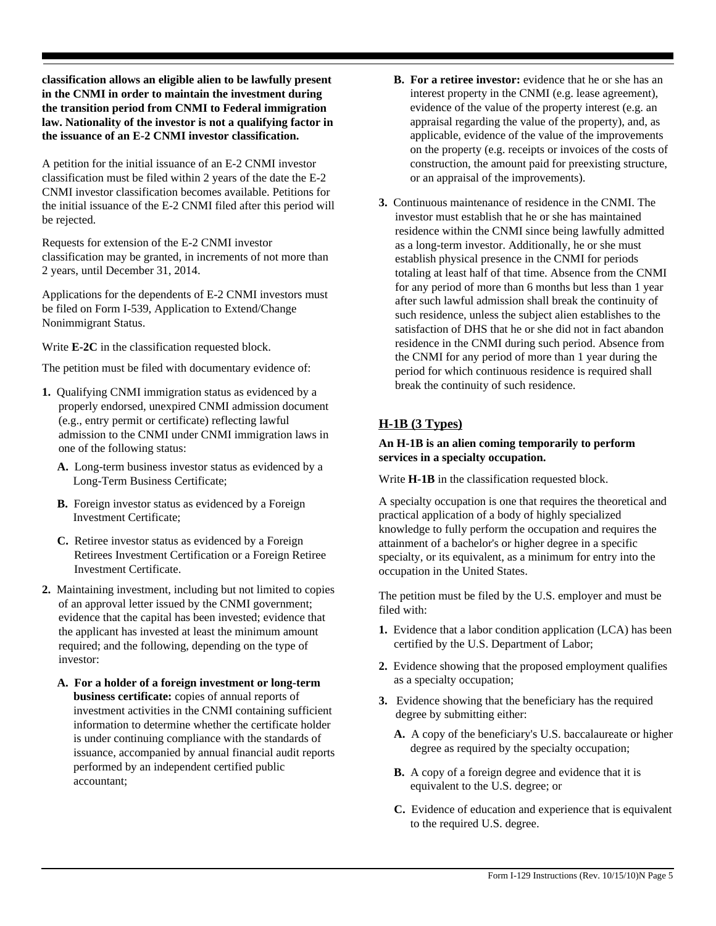**classification allows an eligible alien to be lawfully present in the CNMI in order to maintain the investment during the transition period from CNMI to Federal immigration law. Nationality of the investor is not a qualifying factor in the issuance of an E-2 CNMI investor classification.** 

A petition for the initial issuance of an E-2 CNMI investor classification must be filed within 2 years of the date the E-2 CNMI investor classification becomes available. Petitions for the initial issuance of the E-2 CNMI filed after this period will be rejected.

Requests for extension of the E-2 CNMI investor classification may be granted, in increments of not more than 2 years, until December 31, 2014.

Applications for the dependents of E-2 CNMI investors must be filed on Form I-539, Application to Extend/Change Nonimmigrant Status.

Write **E-2C** in the classification requested block.

The petition must be filed with documentary evidence of:

- **1.** Qualifying CNMI immigration status as evidenced by a properly endorsed, unexpired CNMI admission document (e.g., entry permit or certificate) reflecting lawful admission to the CNMI under CNMI immigration laws in one of the following status:
	- **A.** Long-term business investor status as evidenced by a Long-Term Business Certificate;
	- **B.** Foreign investor status as evidenced by a Foreign Investment Certificate;
	- **C.** Retiree investor status as evidenced by a Foreign Retirees Investment Certification or a Foreign Retiree Investment Certificate.
- **2.** Maintaining investment, including but not limited to copies of an approval letter issued by the CNMI government; evidence that the capital has been invested; evidence that the applicant has invested at least the minimum amount required; and the following, depending on the type of investor:
	- A. For a holder of a foreign investment or long-term as a specialty occupation; **business certificate:** copies of annual reports of investment activities in the CNMI containing sufficient information to determine whether the certificate holder is under continuing compliance with the standards of issuance, accompanied by annual financial audit reports performed by an independent certified public accountant;
- **B. For a retiree investor:** evidence that he or she has an interest property in the CNMI (e.g. lease agreement), evidence of the value of the property interest (e.g. an appraisal regarding the value of the property), and, as applicable, evidence of the value of the improvements on the property (e.g. receipts or invoices of the costs of construction, the amount paid for preexisting structure, or an appraisal of the improvements).
- **3.** Continuous maintenance of residence in the CNMI. The investor must establish that he or she has maintained residence within the CNMI since being lawfully admitted as a long-term investor. Additionally, he or she must establish physical presence in the CNMI for periods totaling at least half of that time. Absence from the CNMI for any period of more than 6 months but less than 1 year after such lawful admission shall break the continuity of such residence, unless the subject alien establishes to the satisfaction of DHS that he or she did not in fact abandon residence in the CNMI during such period. Absence from the CNMI for any period of more than 1 year during the period for which continuous residence is required shall break the continuity of such residence.

### **H-1B (3 Types)**

#### **An H-1B is an alien coming temporarily to perform services in a specialty occupation.**

Write **H-1B** in the classification requested block.

A specialty occupation is one that requires the theoretical and practical application of a body of highly specialized knowledge to fully perform the occupation and requires the attainment of a bachelor's or higher degree in a specific specialty, or its equivalent, as a minimum for entry into the occupation in the United States.

The petition must be filed by the U.S. employer and must be filed with:

- **1.** Evidence that a labor condition application (LCA) has been certified by the U.S. Department of Labor;
- **2.** Evidence showing that the proposed employment qualifies
- **3.** Evidence showing that the beneficiary has the required degree by submitting either:
	- **A.** A copy of the beneficiary's U.S. baccalaureate or higher degree as required by the specialty occupation;
	- **B.** A copy of a foreign degree and evidence that it is equivalent to the U.S. degree; or
	- **C.** Evidence of education and experience that is equivalent to the required U.S. degree.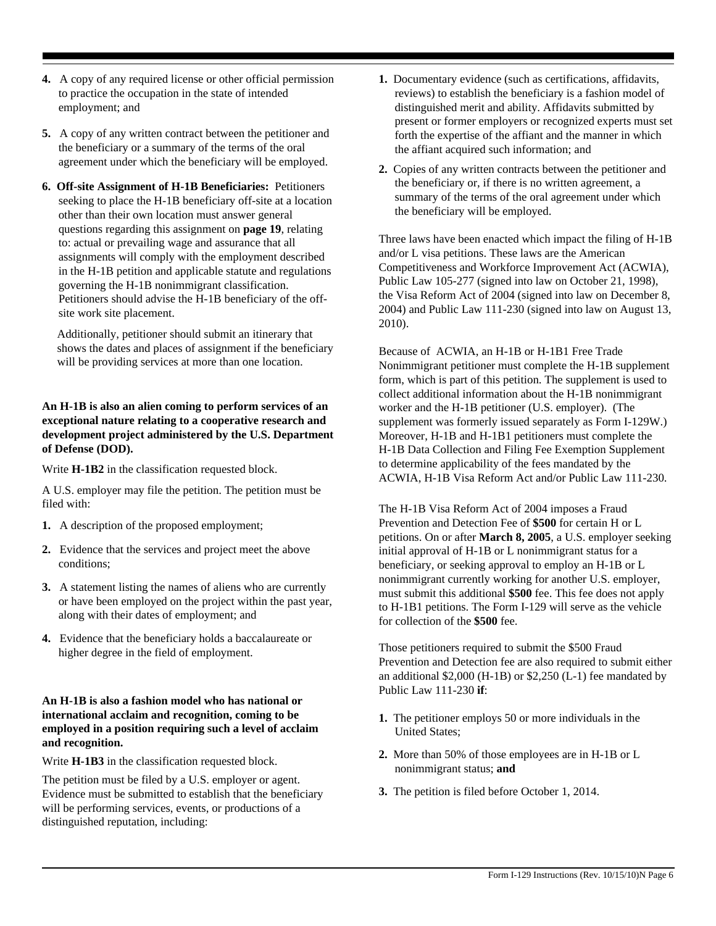- **4.** A copy of any required license or other official permission to practice the occupation in the state of intended employment; and
- **5.** A copy of any written contract between the petitioner and the beneficiary or a summary of the terms of the oral agreement under which the beneficiary will be employed.
- **6. Off-site Assignment of H-1B Beneficiaries:** Petitioners seeking to place the H-1B beneficiary off-site at a location other than their own location must answer general questions regarding this assignment on **page 19**, relating to: actual or prevailing wage and assurance that all assignments will comply with the employment described in the H-1B petition and applicable statute and regulations governing the H-1B nonimmigrant classification. Petitioners should advise the H-1B beneficiary of the offsite work site placement.

Additionally, petitioner should submit an itinerary that shows the dates and places of assignment if the beneficiary will be providing services at more than one location.

#### **An H-1B is also an alien coming to perform services of an exceptional nature relating to a cooperative research and development project administered by the U.S. Department of Defense (DOD).**

Write **H-1B2** in the classification requested block.

A U.S. employer may file the petition. The petition must be filed with:

- **1.** A description of the proposed employment;
- **2.** Evidence that the services and project meet the above conditions;
- **3.** A statement listing the names of aliens who are currently or have been employed on the project within the past year, along with their dates of employment; and
- **4.** Evidence that the beneficiary holds a baccalaureate or higher degree in the field of employment.

#### **An H-1B is also a fashion model who has national or international acclaim and recognition, coming to be employed in a position requiring such a level of acclaim and recognition.**

Write **H-1B3** in the classification requested block.

The petition must be filed by a U.S. employer or agent. Evidence must be submitted to establish that the beneficiary will be performing services, events, or productions of a distinguished reputation, including:

- **1.** Documentary evidence (such as certifications, affidavits, reviews) to establish the beneficiary is a fashion model of distinguished merit and ability. Affidavits submitted by present or former employers or recognized experts must set forth the expertise of the affiant and the manner in which the affiant acquired such information; and
- **2.** Copies of any written contracts between the petitioner and the beneficiary or, if there is no written agreement, a summary of the terms of the oral agreement under which the beneficiary will be employed.

Three laws have been enacted which impact the filing of H-1B and/or L visa petitions. These laws are the American Competitiveness and Workforce Improvement Act (ACWIA), Public Law 105-277 (signed into law on October 21, 1998), the Visa Reform Act of 2004 (signed into law on December 8, 2004) and Public Law 111-230 (signed into law on August 13, 2010).

Because of ACWIA, an H-1B or H-1B1 Free Trade Nonimmigrant petitioner must complete the H-1B supplement form, which is part of this petition. The supplement is used to collect additional information about the H-1B nonimmigrant worker and the H-1B petitioner (U.S. employer). (The supplement was formerly issued separately as Form I-129W.) Moreover, H-1B and H-1B1 petitioners must complete the H-1B Data Collection and Filing Fee Exemption Supplement to determine applicability of the fees mandated by the ACWIA, H-1B Visa Reform Act and/or Public Law 111-230.

The H-1B Visa Reform Act of 2004 imposes a Fraud Prevention and Detection Fee of **\$500** for certain H or L petitions. On or after **March 8, 2005**, a U.S. employer seeking initial approval of H-1B or L nonimmigrant status for a beneficiary, or seeking approval to employ an H-1B or L nonimmigrant currently working for another U.S. employer, must submit this additional **\$500** fee. This fee does not apply to H-1B1 petitions. The Form I-129 will serve as the vehicle for collection of the **\$500** fee.

Those petitioners required to submit the \$500 Fraud Prevention and Detection fee are also required to submit either an additional \$2,000 (H-1B) or \$2,250 (L-1) fee mandated by Public Law 111-230 **if**:

- **1.** The petitioner employs 50 or more individuals in the United States;
- **2.** More than 50% of those employees are in H-1B or L nonimmigrant status; **and**
- **3.** The petition is filed before October 1, 2014.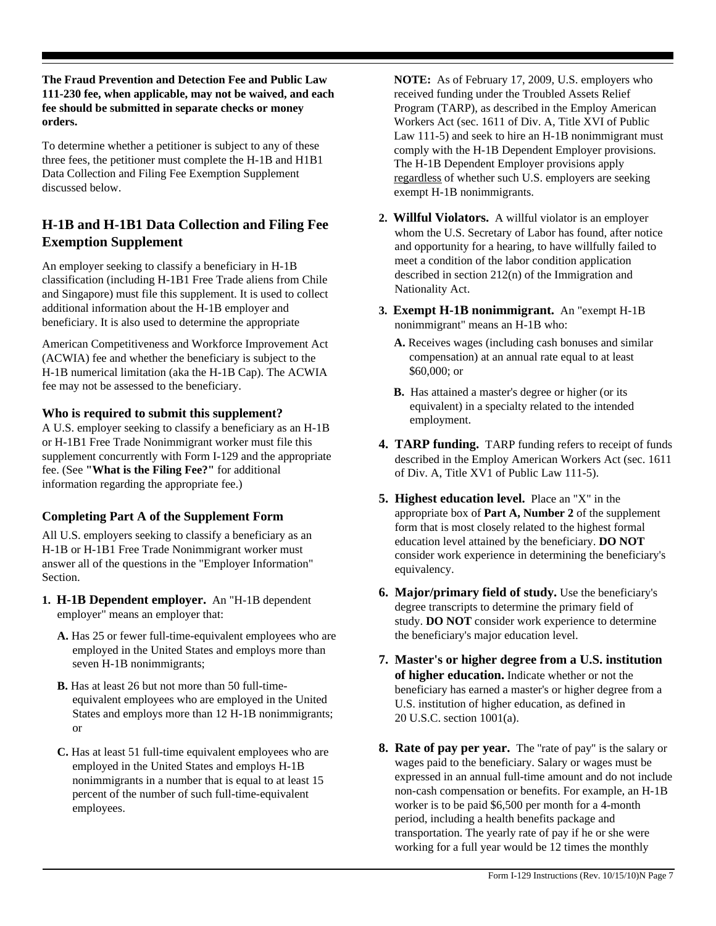**The Fraud Prevention and Detection Fee and Public Law 111-230 fee, when applicable, may not be waived, and each fee should be submitted in separate checks or money orders.**

To determine whether a petitioner is subject to any of these three fees, the petitioner must complete the H-1B and H1B1 Data Collection and Filing Fee Exemption Supplement discussed below.

# **H-1B and H-1B1 Data Collection and Filing Fee Exemption Supplement**

An employer seeking to classify a beneficiary in H-1B classification (including H-1B1 Free Trade aliens from Chile and Singapore) must file this supplement. It is used to collect additional information about the H-1B employer and beneficiary. It is also used to determine the appropriate

American Competitiveness and Workforce Improvement Act (ACWIA) fee and whether the beneficiary is subject to the H-1B numerical limitation (aka the H-1B Cap). The ACWIA fee may not be assessed to the beneficiary.

### **Who is required to submit this supplement?**

A U.S. employer seeking to classify a beneficiary as an H-1B or H-1B1 Free Trade Nonimmigrant worker must file this supplement concurrently with Form I-129 and the appropriate fee. (See **"What is the Filing Fee?"** for additional information regarding the appropriate fee.)

# **Completing Part A of the Supplement Form**

All U.S. employers seeking to classify a beneficiary as an H-1B or H-1B1 Free Trade Nonimmigrant worker must answer all of the questions in the "Employer Information" Section.

- **1. H-1B Dependent employer.** An "H-1B dependent employer" means an employer that:
	- **A.** Has 25 or fewer full-time-equivalent employees who are employed in the United States and employs more than seven H-1B nonimmigrants;
	- **B.** Has at least 26 but not more than 50 full-timeequivalent employees who are employed in the United States and employs more than 12 H-1B nonimmigrants; or
	- **C.** Has at least 51 full-time equivalent employees who are employed in the United States and employs H-1B nonimmigrants in a number that is equal to at least 15 percent of the number of such full-time-equivalent employees.

**NOTE:** As of February 17, 2009, U.S. employers who received funding under the Troubled Assets Relief Program (TARP), as described in the Employ American Workers Act (sec. 1611 of Div. A, Title XVI of Public Law 111-5) and seek to hire an H-1B nonimmigrant must comply with the H-1B Dependent Employer provisions. The H-1B Dependent Employer provisions apply regardless of whether such U.S. employers are seeking exempt H-1B nonimmigrants.

- **2. Willful Violators.** A willful violator is an employer whom the U.S. Secretary of Labor has found, after notice and opportunity for a hearing, to have willfully failed to meet a condition of the labor condition application described in section 212(n) of the Immigration and Nationality Act.
- **3. Exempt H-1B nonimmigrant.** An "exempt H-1B nonimmigrant" means an H-1B who:
	- **A.** Receives wages (including cash bonuses and similar compensation) at an annual rate equal to at least \$60,000; or
	- **B.** Has attained a master's degree or higher (or its equivalent) in a specialty related to the intended employment.
- **4. TARP funding.** TARP funding refers to receipt of funds described in the Employ American Workers Act (sec. 1611 of Div. A, Title XV1 of Public Law 111-5).
- **5. Highest education level.** Place an "X" in the appropriate box of **Part A, Number 2** of the supplement form that is most closely related to the highest formal education level attained by the beneficiary. **DO NOT** consider work experience in determining the beneficiary's equivalency.
- **6. Major/primary field of study.** Use the beneficiary's degree transcripts to determine the primary field of study. **DO NOT** consider work experience to determine the beneficiary's major education level.
- **7. Master's or higher degree from a U.S. institution of higher education.** Indicate whether or not the beneficiary has earned a master's or higher degree from a U.S. institution of higher education, as defined in 20 U.S.C. section 1001(a).
- **8. Rate of pay per year.** The "rate of pay" is the salary or wages paid to the beneficiary. Salary or wages must be expressed in an annual full-time amount and do not include non-cash compensation or benefits. For example, an H-1B worker is to be paid \$6,500 per month for a 4-month period, including a health benefits package and transportation. The yearly rate of pay if he or she were working for a full year would be 12 times the monthly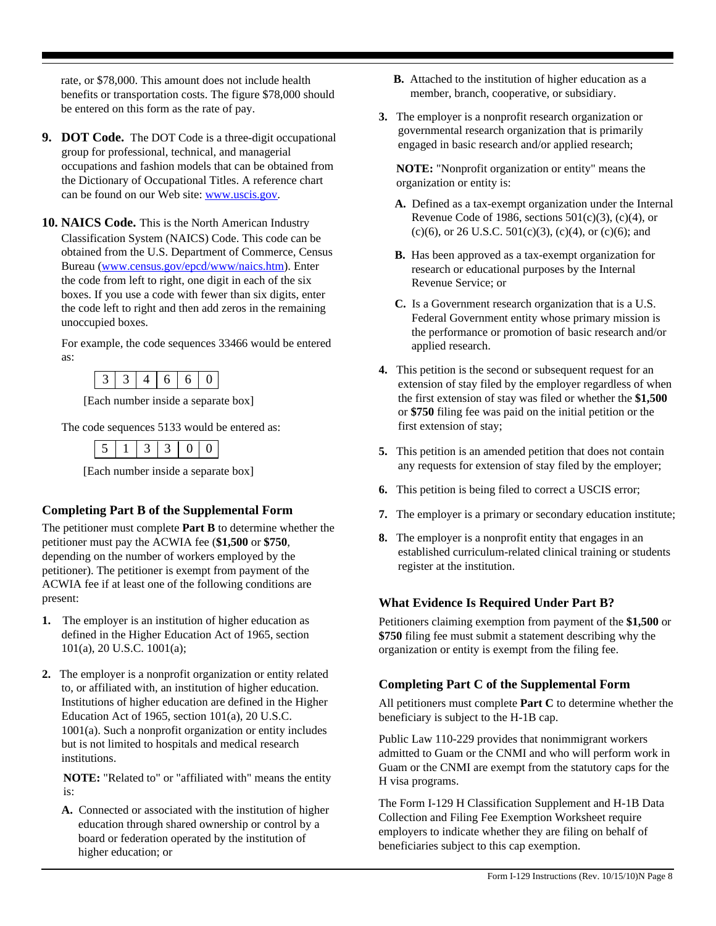rate, or \$78,000. This amount does not include health benefits or transportation costs. The figure \$78,000 should be entered on this form as the rate of pay.

- **9. DOT Code.** The DOT Code is a three-digit occupational group for professional, technical, and managerial occupations and fashion models that can be obtained from the Dictionary of Occupational Titles. A reference chart can be found on our Web site: www.uscis.gov.
- **10. NAICS Code.** This is the North American Industry Classification System (NAICS) Code. This code can be obtained from the U.S. Department of Commerce, Census Bureau (www.census.gov/epcd/www/naics.htm). Enter the code from left to right, one digit in each of the six boxes. If you use a code with fewer than six digits, enter the code left to right and then add zeros in the remaining unoccupied boxes.

For example, the code sequences 33466 would be entered as:

|--|--|--|--|

[Each number inside a separate box]

The code sequences 5133 would be entered as:

|--|--|--|--|--|

[Each number inside a separate box]

### **Completing Part B of the Supplemental Form**

The petitioner must complete **Part B** to determine whether the petitioner must pay the ACWIA fee (**\$1,500** or **\$750**, depending on the number of workers employed by the petitioner). The petitioner is exempt from payment of the ACWIA fee if at least one of the following conditions are present:

- **1.** The employer is an institution of higher education as defined in the Higher Education Act of 1965, section 101(a), 20 U.S.C. 1001(a);
- **2.** The employer is a nonprofit organization or entity related to, or affiliated with, an institution of higher education. Institutions of higher education are defined in the Higher Education Act of 1965, section 101(a), 20 U.S.C. 1001(a). Such a nonprofit organization or entity includes but is not limited to hospitals and medical research institutions.

**NOTE:** "Related to" or "affiliated with" means the entity is:

**A.** Connected or associated with the institution of higher education through shared ownership or control by a board or federation operated by the institution of higher education; or

- **B.** Attached to the institution of higher education as a member, branch, cooperative, or subsidiary.
- **3.** The employer is a nonprofit research organization or governmental research organization that is primarily engaged in basic research and/or applied research;

**NOTE:** "Nonprofit organization or entity" means the organization or entity is:

- **A.** Defined as a tax-exempt organization under the Internal Revenue Code of 1986, sections  $501(c)(3)$ ,  $(c)(4)$ , or (c)(6), or 26 U.S.C.  $501(c)(3)$ , (c)(4), or (c)(6); and
- **B.** Has been approved as a tax-exempt organization for research or educational purposes by the Internal Revenue Service; or
- **C.** Is a Government research organization that is a U.S. Federal Government entity whose primary mission is the performance or promotion of basic research and/or applied research.
- **4.** This petition is the second or subsequent request for an extension of stay filed by the employer regardless of when the first extension of stay was filed or whether the **\$1,500** or **\$750** filing fee was paid on the initial petition or the first extension of stay;
- **5.** This petition is an amended petition that does not contain any requests for extension of stay filed by the employer;
- **6.** This petition is being filed to correct a USCIS error;
- **7.** The employer is a primary or secondary education institute;
- **8.** The employer is a nonprofit entity that engages in an established curriculum-related clinical training or students register at the institution.

### **What Evidence Is Required Under Part B?**

Petitioners claiming exemption from payment of the **\$1,500** or **\$750** filing fee must submit a statement describing why the organization or entity is exempt from the filing fee.

### **Completing Part C of the Supplemental Form**

All petitioners must complete **Part C** to determine whether the beneficiary is subject to the H-1B cap.

Public Law 110-229 provides that nonimmigrant workers admitted to Guam or the CNMI and who will perform work in Guam or the CNMI are exempt from the statutory caps for the H visa programs.

The Form I-129 H Classification Supplement and H-1B Data Collection and Filing Fee Exemption Worksheet require employers to indicate whether they are filing on behalf of beneficiaries subject to this cap exemption.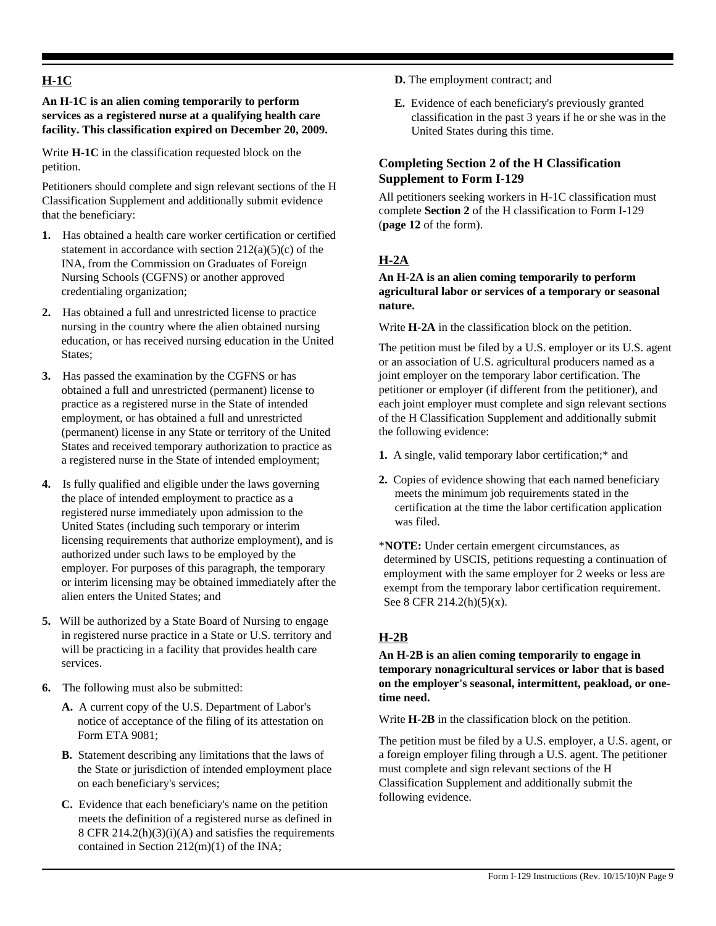# **H-1C**

**An H-1C is an alien coming temporarily to perform services as a registered nurse at a qualifying health care facility. This classification expired on December 20, 2009.**

Write **H-1C** in the classification requested block on the petition.

Petitioners should complete and sign relevant sections of the H Classification Supplement and additionally submit evidence that the beneficiary:

- **1.** Has obtained a health care worker certification or certified statement in accordance with section  $212(a)(5)(c)$  of the INA, from the Commission on Graduates of Foreign Nursing Schools (CGFNS) or another approved credentialing organization;
- **2.** Has obtained a full and unrestricted license to practice nursing in the country where the alien obtained nursing education, or has received nursing education in the United States;
- **3.** Has passed the examination by the CGFNS or has obtained a full and unrestricted (permanent) license to practice as a registered nurse in the State of intended employment, or has obtained a full and unrestricted (permanent) license in any State or territory of the United States and received temporary authorization to practice as a registered nurse in the State of intended employment;
- **4.** Is fully qualified and eligible under the laws governing the place of intended employment to practice as a registered nurse immediately upon admission to the United States (including such temporary or interim licensing requirements that authorize employment), and is authorized under such laws to be employed by the employer. For purposes of this paragraph, the temporary or interim licensing may be obtained immediately after the alien enters the United States; and
- **5.** Will be authorized by a State Board of Nursing to engage in registered nurse practice in a State or U.S. territory and will be practicing in a facility that provides health care services.
- **6.** The following must also be submitted:
	- **A.** A current copy of the U.S. Department of Labor's notice of acceptance of the filing of its attestation on Form ETA 9081;
	- **B.** Statement describing any limitations that the laws of the State or jurisdiction of intended employment place on each beneficiary's services;
	- following evidence. **C.** Evidence that each beneficiary's name on the petition meets the definition of a registered nurse as defined in 8 CFR 214.2(h)(3)(i)(A) and satisfies the requirements contained in Section 212(m)(1) of the INA;
- **D.** The employment contract; and
- **E.** Evidence of each beneficiary's previously granted classification in the past 3 years if he or she was in the United States during this time.

# **Completing Section 2 of the H Classification Supplement to Form I-129**

All petitioners seeking workers in H-1C classification must complete **Section 2** of the H classification to Form I-129 (**page 12** of the form).

# **H-2A**

#### **An H-2A is an alien coming temporarily to perform agricultural labor or services of a temporary or seasonal nature.**

Write **H-2A** in the classification block on the petition.

The petition must be filed by a U.S. employer or its U.S. agent or an association of U.S. agricultural producers named as a joint employer on the temporary labor certification. The petitioner or employer (if different from the petitioner), and each joint employer must complete and sign relevant sections of the H Classification Supplement and additionally submit the following evidence:

- **1.** A single, valid temporary labor certification;\* and
- **2.** Copies of evidence showing that each named beneficiary meets the minimum job requirements stated in the certification at the time the labor certification application was filed.
- \***NOTE:** Under certain emergent circumstances, as determined by USCIS, petitions requesting a continuation of employment with the same employer for 2 weeks or less are exempt from the temporary labor certification requirement. See 8 CFR 214.2(h)(5)(x).

# **H-2B**

**An H-2B is an alien coming temporarily to engage in temporary nonagricultural services or labor that is based on the employer's seasonal, intermittent, peakload, or onetime need.**

Write **H-2B** in the classification block on the petition.

The petition must be filed by a U.S. employer, a U.S. agent, or a foreign employer filing through a U.S. agent. The petitioner must complete and sign relevant sections of the H Classification Supplement and additionally submit the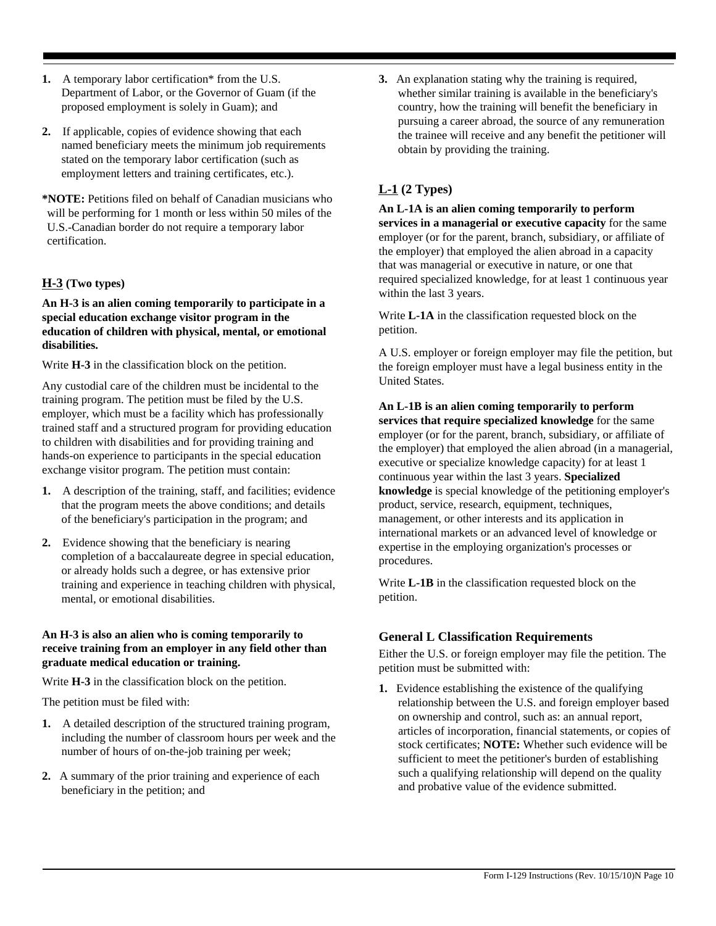- 1. A temporary labor certification\* from the U.S. Department of Labor, or the Governor of Guam (if the proposed employment is solely in Guam); and
- **2.** If applicable, copies of evidence showing that each named beneficiary meets the minimum job requirements stated on the temporary labor certification (such as employment letters and training certificates, etc.).
- **\*NOTE:** Petitions filed on behalf of Canadian musicians who will be performing for 1 month or less within 50 miles of the U.S.-Canadian border do not require a temporary labor certification.

# **H-3 (Two types)**

**An H-3 is an alien coming temporarily to participate in a special education exchange visitor program in the education of children with physical, mental, or emotional disabilities.**

Write **H-3** in the classification block on the petition.

Any custodial care of the children must be incidental to the training program. The petition must be filed by the U.S. employer, which must be a facility which has professionally trained staff and a structured program for providing education to children with disabilities and for providing training and hands-on experience to participants in the special education exchange visitor program. The petition must contain:

- **1.** A description of the training, staff, and facilities; evidence that the program meets the above conditions; and details of the beneficiary's participation in the program; and
- **2.** Evidence showing that the beneficiary is nearing completion of a baccalaureate degree in special education, or already holds such a degree, or has extensive prior training and experience in teaching children with physical, mental, or emotional disabilities.

#### **An H-3 is also an alien who is coming temporarily to receive training from an employer in any field other than graduate medical education or training.**

Write **H-3** in the classification block on the petition.

The petition must be filed with:

- **1.** A detailed description of the structured training program, including the number of classroom hours per week and the number of hours of on-the-job training per week;
- **2.** A summary of the prior training and experience of each beneficiary in the petition; and

**3.** An explanation stating why the training is required, whether similar training is available in the beneficiary's country, how the training will benefit the beneficiary in pursuing a career abroad, the source of any remuneration the trainee will receive and any benefit the petitioner will obtain by providing the training.

# **L-1 (2 Types)**

**An L-1A is an alien coming temporarily to perform services in a managerial or executive capacity** for the same employer (or for the parent, branch, subsidiary, or affiliate of the employer) that employed the alien abroad in a capacity that was managerial or executive in nature, or one that required specialized knowledge, for at least 1 continuous year within the last 3 years.

Write **L-1A** in the classification requested block on the petition.

A U.S. employer or foreign employer may file the petition, but the foreign employer must have a legal business entity in the United States.

**An L-1B is an alien coming temporarily to perform services that require specialized knowledge** for the same employer (or for the parent, branch, subsidiary, or affiliate of the employer) that employed the alien abroad (in a managerial, executive or specialize knowledge capacity) for at least 1 continuous year within the last 3 years. **Specialized knowledge** is special knowledge of the petitioning employer's product, service, research, equipment, techniques, management, or other interests and its application in international markets or an advanced level of knowledge or expertise in the employing organization's processes or procedures.

Write **L-1B** in the classification requested block on the petition.

# **General L Classification Requirements**

Either the U.S. or foreign employer may file the petition. The petition must be submitted with:

**1.** Evidence establishing the existence of the qualifying relationship between the U.S. and foreign employer based on ownership and control, such as: an annual report, articles of incorporation, financial statements, or copies of stock certificates; **NOTE:** Whether such evidence will be sufficient to meet the petitioner's burden of establishing such a qualifying relationship will depend on the quality and probative value of the evidence submitted.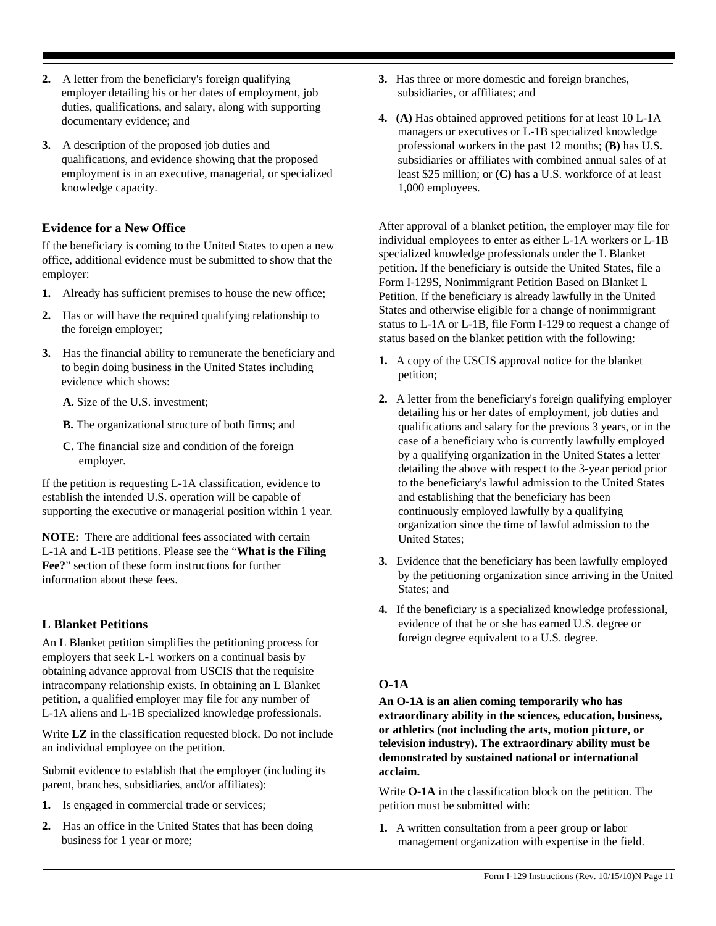- **2.** A letter from the beneficiary's foreign qualifying employer detailing his or her dates of employment, job duties, qualifications, and salary, along with supporting documentary evidence; and
- **3.** A description of the proposed job duties and qualifications, and evidence showing that the proposed employment is in an executive, managerial, or specialized knowledge capacity.

### **Evidence for a New Office**

If the beneficiary is coming to the United States to open a new office, additional evidence must be submitted to show that the employer:

- **1.** Already has sufficient premises to house the new office;
- **2.** Has or will have the required qualifying relationship to the foreign employer;
- **3.** Has the financial ability to remunerate the beneficiary and to begin doing business in the United States including evidence which shows:
	- **A.** Size of the U.S. investment;
	- **B.** The organizational structure of both firms; and
	- **C.** The financial size and condition of the foreign employer.

If the petition is requesting L-1A classification, evidence to establish the intended U.S. operation will be capable of supporting the executive or managerial position within 1 year.

**NOTE:** There are additional fees associated with certain L-1A and L-1B petitions. Please see the "**What is the Filing Fee?**" section of these form instructions for further information about these fees.

# **L Blanket Petitions**

An L Blanket petition simplifies the petitioning process for employers that seek L-1 workers on a continual basis by obtaining advance approval from USCIS that the requisite intracompany relationship exists. In obtaining an L Blanket petition, a qualified employer may file for any number of L-1A aliens and L-1B specialized knowledge professionals.

Write **LZ** in the classification requested block. Do not include an individual employee on the petition.

Submit evidence to establish that the employer (including its parent, branches, subsidiaries, and/or affiliates):

- **1.** Is engaged in commercial trade or services;
- **2.** Has an office in the United States that has been doing business for 1 year or more;
- **3.** Has three or more domestic and foreign branches, subsidiaries, or affiliates; and
- **4. (A)** Has obtained approved petitions for at least 10 L-1A managers or executives or L-1B specialized knowledge professional workers in the past 12 months; **(B)** has U.S. subsidiaries or affiliates with combined annual sales of at least \$25 million; or **(C)** has a U.S. workforce of at least 1,000 employees.

After approval of a blanket petition, the employer may file for individual employees to enter as either L-1A workers or L-1B specialized knowledge professionals under the L Blanket petition. If the beneficiary is outside the United States, file a Form I-129S, Nonimmigrant Petition Based on Blanket L Petition. If the beneficiary is already lawfully in the United States and otherwise eligible for a change of nonimmigrant status to L-1A or L-1B, file Form I-129 to request a change of status based on the blanket petition with the following:

- **1.** A copy of the USCIS approval notice for the blanket petition;
- **2.** A letter from the beneficiary's foreign qualifying employer detailing his or her dates of employment, job duties and qualifications and salary for the previous 3 years, or in the case of a beneficiary who is currently lawfully employed by a qualifying organization in the United States a letter detailing the above with respect to the 3-year period prior to the beneficiary's lawful admission to the United States and establishing that the beneficiary has been continuously employed lawfully by a qualifying organization since the time of lawful admission to the United States;
- **3.** Evidence that the beneficiary has been lawfully employed by the petitioning organization since arriving in the United States; and
- **4.** If the beneficiary is a specialized knowledge professional, evidence of that he or she has earned U.S. degree or foreign degree equivalent to a U.S. degree.

# **O-1A**

**An O-1A is an alien coming temporarily who has extraordinary ability in the sciences, education, business, or athletics (not including the arts, motion picture, or television industry). The extraordinary ability must be demonstrated by sustained national or international acclaim.**

Write **O-1A** in the classification block on the petition. The petition must be submitted with:

**1.** A written consultation from a peer group or labor management organization with expertise in the field.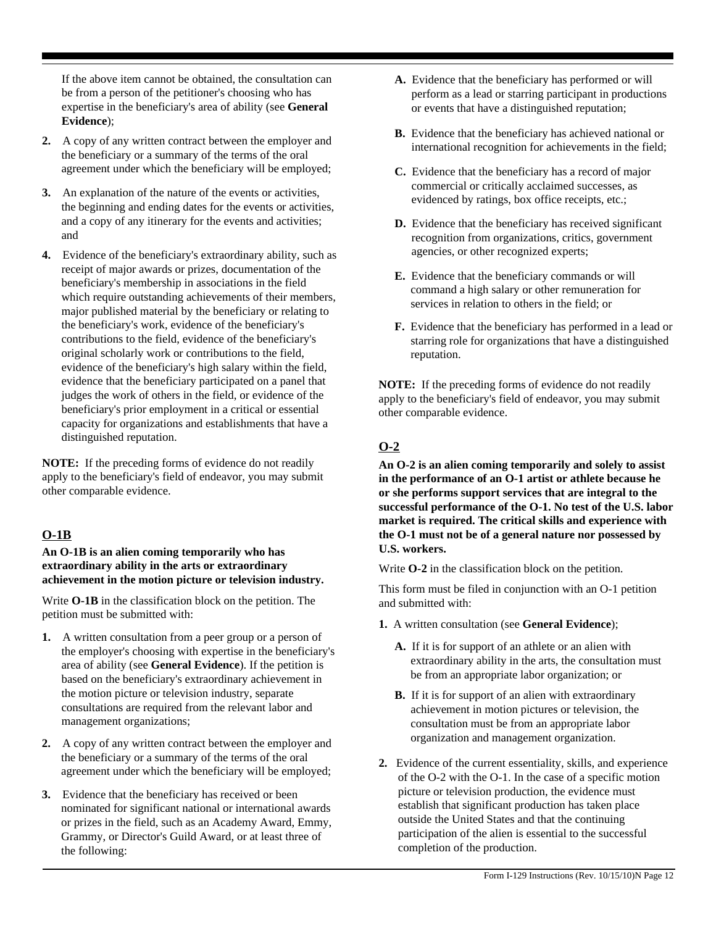If the above item cannot be obtained, the consultation can be from a person of the petitioner's choosing who has expertise in the beneficiary's area of ability (see **General Evidence**);

- **2.** A copy of any written contract between the employer and the beneficiary or a summary of the terms of the oral agreement under which the beneficiary will be employed;
- **3.** An explanation of the nature of the events or activities, the beginning and ending dates for the events or activities, and a copy of any itinerary for the events and activities; and
- **4.** Evidence of the beneficiary's extraordinary ability, such as receipt of major awards or prizes, documentation of the beneficiary's membership in associations in the field which require outstanding achievements of their members, major published material by the beneficiary or relating to the beneficiary's work, evidence of the beneficiary's contributions to the field, evidence of the beneficiary's original scholarly work or contributions to the field, evidence of the beneficiary's high salary within the field, evidence that the beneficiary participated on a panel that judges the work of others in the field, or evidence of the beneficiary's prior employment in a critical or essential capacity for organizations and establishments that have a distinguished reputation.

**NOTE:** If the preceding forms of evidence do not readily apply to the beneficiary's field of endeavor, you may submit other comparable evidence.

### **O-1B**

#### **An O-1B is an alien coming temporarily who has extraordinary ability in the arts or extraordinary achievement in the motion picture or television industry.**

Write **O-1B** in the classification block on the petition. The petition must be submitted with:

- **1.** A written consultation from a peer group or a person of the employer's choosing with expertise in the beneficiary's area of ability (see **General Evidence**). If the petition is based on the beneficiary's extraordinary achievement in the motion picture or television industry, separate consultations are required from the relevant labor and management organizations;
- **2.** A copy of any written contract between the employer and the beneficiary or a summary of the terms of the oral agreement under which the beneficiary will be employed;
- **3.** Evidence that the beneficiary has received or been nominated for significant national or international awards or prizes in the field, such as an Academy Award, Emmy, Grammy, or Director's Guild Award, or at least three of the following:
- **A.** Evidence that the beneficiary has performed or will perform as a lead or starring participant in productions or events that have a distinguished reputation;
- **B.** Evidence that the beneficiary has achieved national or international recognition for achievements in the field;
- **C.** Evidence that the beneficiary has a record of major commercial or critically acclaimed successes, as evidenced by ratings, box office receipts, etc.;
- **D.** Evidence that the beneficiary has received significant recognition from organizations, critics, government agencies, or other recognized experts;
- **E.** Evidence that the beneficiary commands or will command a high salary or other remuneration for services in relation to others in the field; or
- **F.** Evidence that the beneficiary has performed in a lead or starring role for organizations that have a distinguished reputation.

**NOTE:** If the preceding forms of evidence do not readily apply to the beneficiary's field of endeavor, you may submit other comparable evidence.

# **O-2**

**An O-2 is an alien coming temporarily and solely to assist in the performance of an O-1 artist or athlete because he or she performs support services that are integral to the successful performance of the O-1. No test of the U.S. labor market is required. The critical skills and experience with the O-1 must not be of a general nature nor possessed by U.S. workers.**

Write **O-2** in the classification block on the petition.

This form must be filed in conjunction with an O-1 petition and submitted with:

- **1.** A written consultation (see **General Evidence**);
	- **A.** If it is for support of an athlete or an alien with extraordinary ability in the arts, the consultation must be from an appropriate labor organization; or
	- **B.** If it is for support of an alien with extraordinary achievement in motion pictures or television, the consultation must be from an appropriate labor organization and management organization.
- **2.** Evidence of the current essentiality, skills, and experience of the O-2 with the O-1. In the case of a specific motion picture or television production, the evidence must establish that significant production has taken place outside the United States and that the continuing participation of the alien is essential to the successful completion of the production.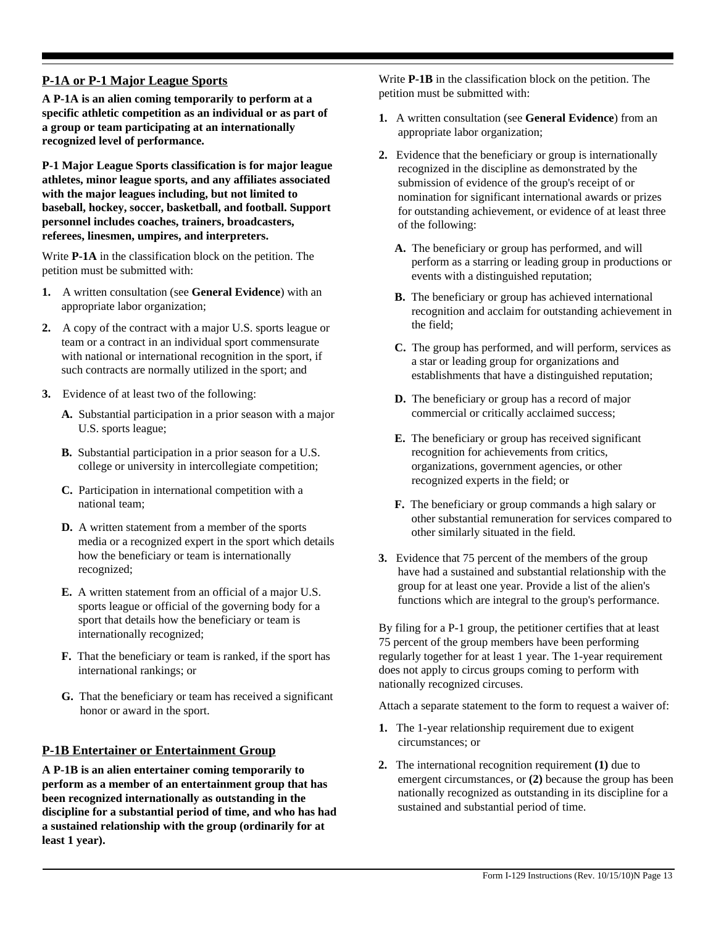# **P-1A or P-1 Major League Sports**

**A P-1A is an alien coming temporarily to perform at a specific athletic competition as an individual or as part of a group or team participating at an internationally recognized level of performance.**

**P-1 Major League Sports classification is for major league athletes, minor league sports, and any affiliates associated with the major leagues including, but not limited to baseball, hockey, soccer, basketball, and football. Support personnel includes coaches, trainers, broadcasters, referees, linesmen, umpires, and interpreters.**

Write **P-1A** in the classification block on the petition. The petition must be submitted with:

- **1.** A written consultation (see **General Evidence**) with an appropriate labor organization;
- **2.** A copy of the contract with a major U.S. sports league or team or a contract in an individual sport commensurate with national or international recognition in the sport, if such contracts are normally utilized in the sport; and
- **3.** Evidence of at least two of the following:
	- **A.** Substantial participation in a prior season with a major U.S. sports league;
	- **B.** Substantial participation in a prior season for a U.S. college or university in intercollegiate competition;
	- **C.** Participation in international competition with a national team;
	- **D.** A written statement from a member of the sports media or a recognized expert in the sport which details how the beneficiary or team is internationally recognized;
	- **E.** A written statement from an official of a major U.S. sports league or official of the governing body for a sport that details how the beneficiary or team is internationally recognized;
	- **F.** That the beneficiary or team is ranked, if the sport has international rankings; or
	- **G.** That the beneficiary or team has received a significant honor or award in the sport.

# **P-1B Entertainer or Entertainment Group**

**A P-1B is an alien entertainer coming temporarily to perform as a member of an entertainment group that has been recognized internationally as outstanding in the discipline for a substantial period of time, and who has had a sustained relationship with the group (ordinarily for at least 1 year).**

Write **P-1B** in the classification block on the petition. The petition must be submitted with:

- **1.** A written consultation (see **General Evidence**) from an appropriate labor organization;
- **2.** Evidence that the beneficiary or group is internationally recognized in the discipline as demonstrated by the submission of evidence of the group's receipt of or nomination for significant international awards or prizes for outstanding achievement, or evidence of at least three of the following:
	- **A.** The beneficiary or group has performed, and will perform as a starring or leading group in productions or events with a distinguished reputation;
	- **B.** The beneficiary or group has achieved international recognition and acclaim for outstanding achievement in the field;
	- **C.** The group has performed, and will perform, services as a star or leading group for organizations and establishments that have a distinguished reputation;
	- **D.** The beneficiary or group has a record of major commercial or critically acclaimed success;
	- **E.** The beneficiary or group has received significant recognition for achievements from critics, organizations, government agencies, or other recognized experts in the field; or
	- **F.** The beneficiary or group commands a high salary or other substantial remuneration for services compared to other similarly situated in the field.
- **3.** Evidence that 75 percent of the members of the group have had a sustained and substantial relationship with the group for at least one year. Provide a list of the alien's functions which are integral to the group's performance.

By filing for a P-1 group, the petitioner certifies that at least 75 percent of the group members have been performing regularly together for at least 1 year. The 1-year requirement does not apply to circus groups coming to perform with nationally recognized circuses.

Attach a separate statement to the form to request a waiver of:

- **1.** The 1-year relationship requirement due to exigent circumstances; or
- **2.** The international recognition requirement **(1)** due to emergent circumstances, or **(2)** because the group has been nationally recognized as outstanding in its discipline for a sustained and substantial period of time.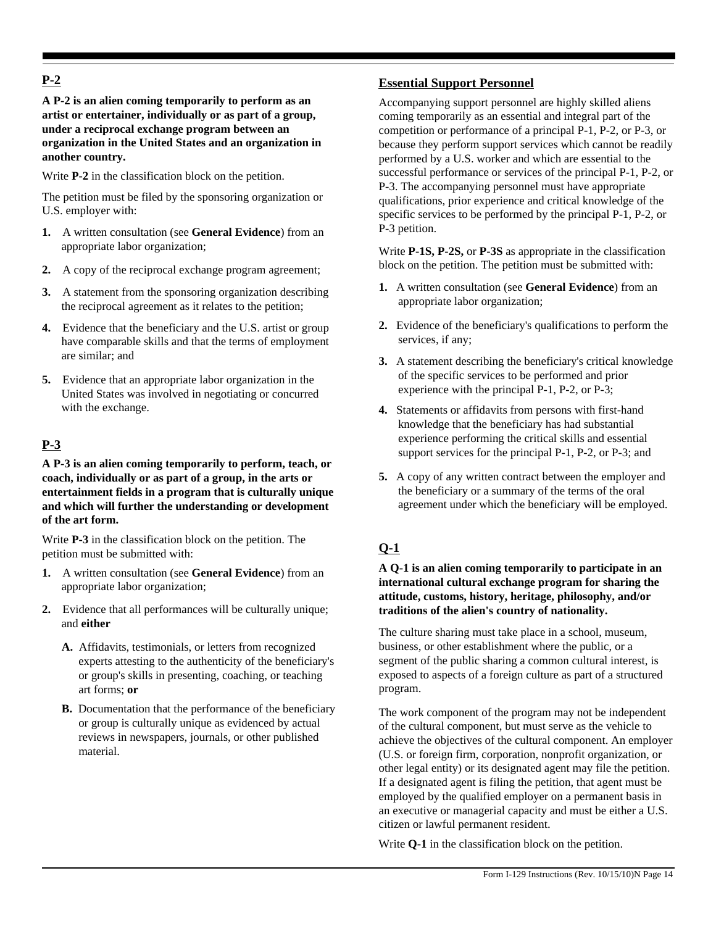# **P-2**

**A P-2 is an alien coming temporarily to perform as an artist or entertainer, individually or as part of a group, under a reciprocal exchange program between an organization in the United States and an organization in another country.**

Write **P-2** in the classification block on the petition.

The petition must be filed by the sponsoring organization or U.S. employer with:

- **1.** A written consultation (see **General Evidence**) from an appropriate labor organization;
- **2.** A copy of the reciprocal exchange program agreement;
- **3.** A statement from the sponsoring organization describing the reciprocal agreement as it relates to the petition;
- **4.** Evidence that the beneficiary and the U.S. artist or group have comparable skills and that the terms of employment are similar; and
- **5.** Evidence that an appropriate labor organization in the United States was involved in negotiating or concurred with the exchange.

# **P-3**

**A P-3 is an alien coming temporarily to perform, teach, or coach, individually or as part of a group, in the arts or entertainment fields in a program that is culturally unique and which will further the understanding or development of the art form.**

Write **P-3** in the classification block on the petition. The petition must be submitted with:

- **1.** A written consultation (see **General Evidence**) from an appropriate labor organization;
- **2.** Evidence that all performances will be culturally unique; and **either**
	- **A.** Affidavits, testimonials, or letters from recognized experts attesting to the authenticity of the beneficiary's or group's skills in presenting, coaching, or teaching art forms; **or**
	- **B.** Documentation that the performance of the beneficiary or group is culturally unique as evidenced by actual reviews in newspapers, journals, or other published material.

# **Essential Support Personnel**

Accompanying support personnel are highly skilled aliens coming temporarily as an essential and integral part of the competition or performance of a principal P-1, P-2, or P-3, or because they perform support services which cannot be readily performed by a U.S. worker and which are essential to the successful performance or services of the principal P-1, P-2, or P-3. The accompanying personnel must have appropriate qualifications, prior experience and critical knowledge of the specific services to be performed by the principal P-1, P-2, or P-3 petition.

Write **P-1S, P-2S,** or **P-3S** as appropriate in the classification block on the petition. The petition must be submitted with:

- **1.** A written consultation (see **General Evidence**) from an appropriate labor organization;
- **2.** Evidence of the beneficiary's qualifications to perform the services, if any;
- **3.** A statement describing the beneficiary's critical knowledge of the specific services to be performed and prior experience with the principal P-1, P-2, or P-3;
- **4.** Statements or affidavits from persons with first-hand knowledge that the beneficiary has had substantial experience performing the critical skills and essential support services for the principal P-1, P-2, or P-3; and
- **5.** A copy of any written contract between the employer and the beneficiary or a summary of the terms of the oral agreement under which the beneficiary will be employed.

# **Q-1**

#### **A Q-1 is an alien coming temporarily to participate in an international cultural exchange program for sharing the attitude, customs, history, heritage, philosophy, and/or traditions of the alien's country of nationality.**

The culture sharing must take place in a school, museum, business, or other establishment where the public, or a segment of the public sharing a common cultural interest, is exposed to aspects of a foreign culture as part of a structured program.

The work component of the program may not be independent of the cultural component, but must serve as the vehicle to achieve the objectives of the cultural component. An employer (U.S. or foreign firm, corporation, nonprofit organization, or other legal entity) or its designated agent may file the petition. If a designated agent is filing the petition, that agent must be employed by the qualified employer on a permanent basis in an executive or managerial capacity and must be either a U.S. citizen or lawful permanent resident.

Write **Q-1** in the classification block on the petition.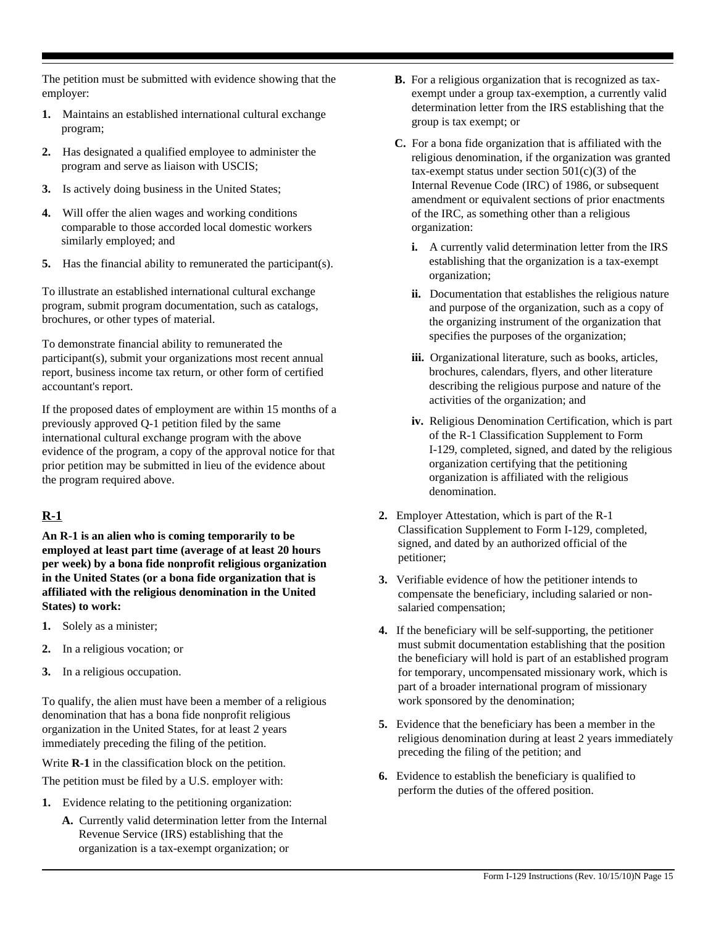The petition must be submitted with evidence showing that the employer:

- **1.** Maintains an established international cultural exchange program;
- **2.** Has designated a qualified employee to administer the program and serve as liaison with USCIS;
- **3.** Is actively doing business in the United States;
- **4.** Will offer the alien wages and working conditions comparable to those accorded local domestic workers similarly employed; and
- **5.** Has the financial ability to remunerated the participant(s).

To illustrate an established international cultural exchange program, submit program documentation, such as catalogs, brochures, or other types of material.

To demonstrate financial ability to remunerated the participant(s), submit your organizations most recent annual report, business income tax return, or other form of certified accountant's report.

If the proposed dates of employment are within 15 months of a previously approved Q-1 petition filed by the same international cultural exchange program with the above evidence of the program, a copy of the approval notice for that prior petition may be submitted in lieu of the evidence about the program required above.

# **R-1**

**An R-1 is an alien who is coming temporarily to be employed at least part time (average of at least 20 hours per week) by a bona fide nonprofit religious organization in the United States (or a bona fide organization that is affiliated with the religious denomination in the United States) to work:**

- **1.** Solely as a minister;
- **2.** In a religious vocation; or
- **3.** In a religious occupation.

To qualify, the alien must have been a member of a religious denomination that has a bona fide nonprofit religious organization in the United States, for at least 2 years immediately preceding the filing of the petition.

Write **R-1** in the classification block on the petition.

The petition must be filed by a U.S. employer with:

- **1.** Evidence relating to the petitioning organization:
	- **A.** Currently valid determination letter from the Internal Revenue Service (IRS) establishing that the organization is a tax-exempt organization; or
- **B.** For a religious organization that is recognized as taxexempt under a group tax-exemption, a currently valid determination letter from the IRS establishing that the group is tax exempt; or
- **C.** For a bona fide organization that is affiliated with the religious denomination, if the organization was granted tax-exempt status under section  $501(c)(3)$  of the Internal Revenue Code (IRC) of 1986, or subsequent amendment or equivalent sections of prior enactments of the IRC, as something other than a religious organization:
	- **i.** A currently valid determination letter from the IRS establishing that the organization is a tax-exempt organization;
	- **ii.** Documentation that establishes the religious nature and purpose of the organization, such as a copy of the organizing instrument of the organization that specifies the purposes of the organization;
	- **iii.** Organizational literature, such as books, articles, brochures, calendars, flyers, and other literature describing the religious purpose and nature of the activities of the organization; and
	- **iv.** Religious Denomination Certification, which is part of the R-1 Classification Supplement to Form I-129, completed, signed, and dated by the religious organization certifying that the petitioning organization is affiliated with the religious denomination.
- **2.** Employer Attestation, which is part of the R-1 Classification Supplement to Form I-129, completed, signed, and dated by an authorized official of the petitioner;
- **3.** Verifiable evidence of how the petitioner intends to compensate the beneficiary, including salaried or nonsalaried compensation;
- **4.** If the beneficiary will be self-supporting, the petitioner must submit documentation establishing that the position the beneficiary will hold is part of an established program for temporary, uncompensated missionary work, which is part of a broader international program of missionary work sponsored by the denomination;
- **5.** Evidence that the beneficiary has been a member in the religious denomination during at least 2 years immediately preceding the filing of the petition; and
- **6.** Evidence to establish the beneficiary is qualified to perform the duties of the offered position.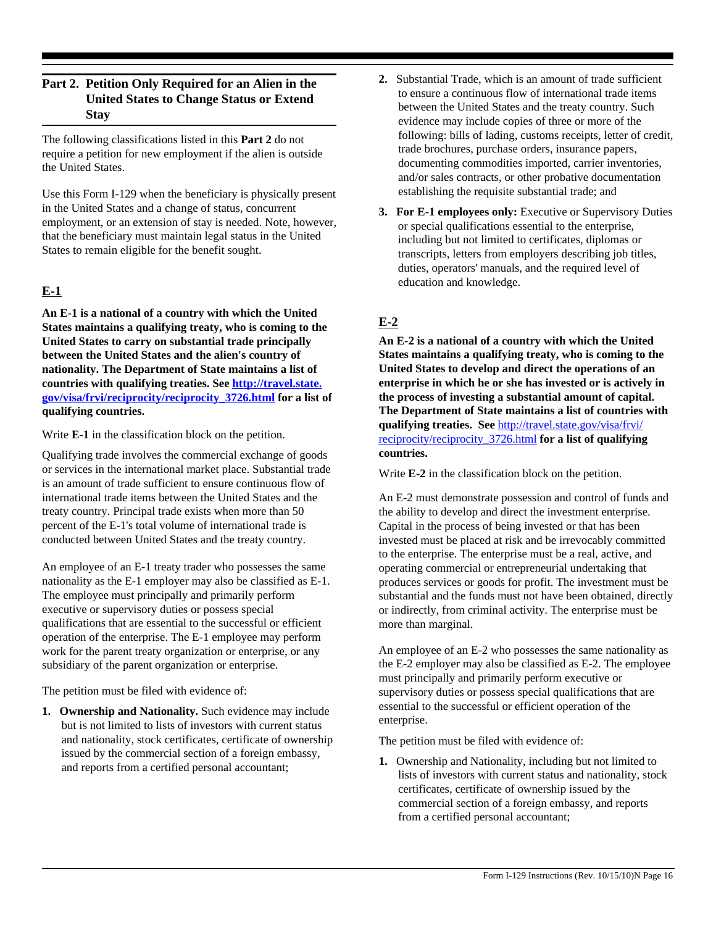# **Part 2. Petition Only Required for an Alien in the United States to Change Status or Extend Stay**

The following classifications listed in this **Part 2** do not require a petition for new employment if the alien is outside the United States.

Use this Form I-129 when the beneficiary is physically present in the United States and a change of status, concurrent employment, or an extension of stay is needed. Note, however, that the beneficiary must maintain legal status in the United States to remain eligible for the benefit sought.

# **E-1**

**An E-1 is a national of a country with which the United States maintains a qualifying treaty, who is coming to the United States to carry on substantial trade principally between the United States and the alien's country of nationality. The Department of State maintains a list of countries with qualifying treaties. See http://travel.state. gov/visa/frvi/reciprocity/reciprocity\_3726.html for a list of qualifying countries.**

Write **E-1** in the classification block on the petition.

Qualifying trade involves the commercial exchange of goods or services in the international market place. Substantial trade is an amount of trade sufficient to ensure continuous flow of international trade items between the United States and the treaty country. Principal trade exists when more than 50 percent of the E-1's total volume of international trade is conducted between United States and the treaty country.

An employee of an E-1 treaty trader who possesses the same nationality as the E-1 employer may also be classified as E-1. The employee must principally and primarily perform executive or supervisory duties or possess special qualifications that are essential to the successful or efficient operation of the enterprise. The E-1 employee may perform work for the parent treaty organization or enterprise, or any subsidiary of the parent organization or enterprise.

The petition must be filed with evidence of:

**1. Ownership and Nationality.** Such evidence may include but is not limited to lists of investors with current status and nationality, stock certificates, certificate of ownership issued by the commercial section of a foreign embassy, and reports from a certified personal accountant;

- **2.** Substantial Trade, which is an amount of trade sufficient to ensure a continuous flow of international trade items between the United States and the treaty country. Such evidence may include copies of three or more of the following: bills of lading, customs receipts, letter of credit, trade brochures, purchase orders, insurance papers, documenting commodities imported, carrier inventories, and/or sales contracts, or other probative documentation establishing the requisite substantial trade; and
- **3. For E-1 employees only:** Executive or Supervisory Duties or special qualifications essential to the enterprise, including but not limited to certificates, diplomas or transcripts, letters from employers describing job titles, duties, operators' manuals, and the required level of education and knowledge.

# **E-2**

**An E-2 is a national of a country with which the United States maintains a qualifying treaty, who is coming to the United States to develop and direct the operations of an enterprise in which he or she has invested or is actively in the process of investing a substantial amount of capital. The Department of State maintains a list of countries with qualifying treaties. See** http://travel.state.gov/visa/frvi/ reciprocity/reciprocity\_3726.html **for a list of qualifying countries.**

Write **E-2** in the classification block on the petition.

An E-2 must demonstrate possession and control of funds and the ability to develop and direct the investment enterprise. Capital in the process of being invested or that has been invested must be placed at risk and be irrevocably committed to the enterprise. The enterprise must be a real, active, and operating commercial or entrepreneurial undertaking that produces services or goods for profit. The investment must be substantial and the funds must not have been obtained, directly or indirectly, from criminal activity. The enterprise must be more than marginal.

An employee of an E-2 who possesses the same nationality as the E-2 employer may also be classified as E-2. The employee must principally and primarily perform executive or supervisory duties or possess special qualifications that are essential to the successful or efficient operation of the enterprise.

The petition must be filed with evidence of:

**1.** Ownership and Nationality, including but not limited to lists of investors with current status and nationality, stock certificates, certificate of ownership issued by the commercial section of a foreign embassy, and reports from a certified personal accountant;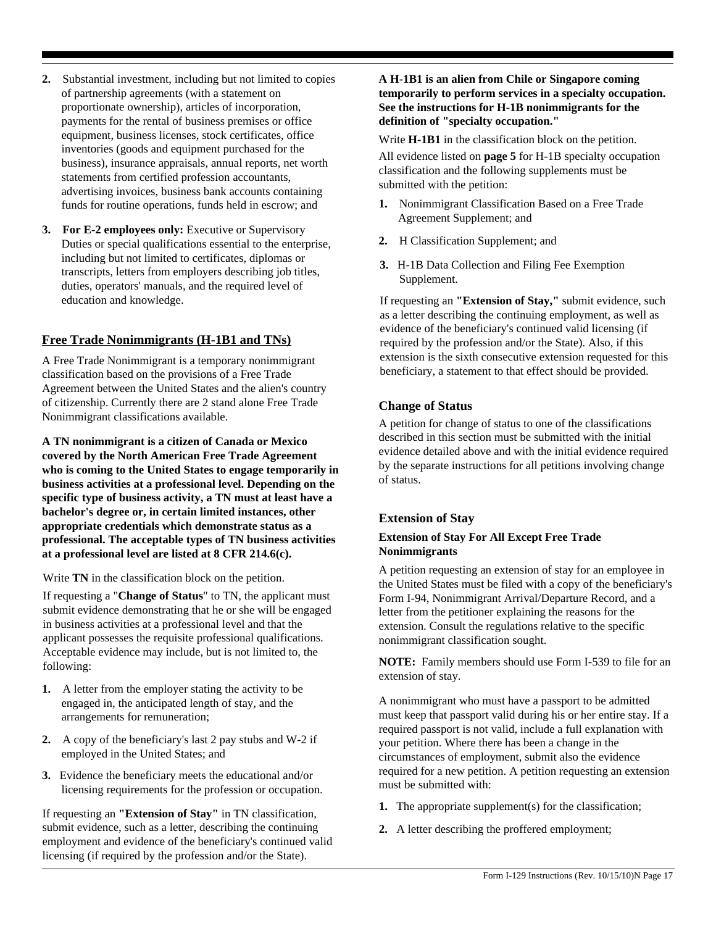- **2.** Substantial investment, including but not limited to copies of partnership agreements (with a statement on proportionate ownership), articles of incorporation, payments for the rental of business premises or office equipment, business licenses, stock certificates, office inventories (goods and equipment purchased for the business), insurance appraisals, annual reports, net worth statements from certified profession accountants, advertising invoices, business bank accounts containing funds for routine operations, funds held in escrow; and
- **3. For E-2 employees only:** Executive or Supervisory Duties or special qualifications essential to the enterprise, including but not limited to certificates, diplomas or transcripts, letters from employers describing job titles, duties, operators' manuals, and the required level of education and knowledge.

#### **Free Trade Nonimmigrants (H-1B1 and TNs)**

A Free Trade Nonimmigrant is a temporary nonimmigrant classification based on the provisions of a Free Trade Agreement between the United States and the alien's country of citizenship. Currently there are 2 stand alone Free Trade Nonimmigrant classifications available.

**A TN nonimmigrant is a citizen of Canada or Mexico covered by the North American Free Trade Agreement who is coming to the United States to engage temporarily in business activities at a professional level. Depending on the specific type of business activity, a TN must at least have a bachelor's degree or, in certain limited instances, other appropriate credentials which demonstrate status as a professional. The acceptable types of TN business activities at a professional level are listed at 8 CFR 214.6(c).**

Write **TN** in the classification block on the petition.

If requesting a "**Change of Status**" to TN, the applicant must submit evidence demonstrating that he or she will be engaged in business activities at a professional level and that the applicant possesses the requisite professional qualifications. Acceptable evidence may include, but is not limited to, the following:

- **1.** A letter from the employer stating the activity to be engaged in, the anticipated length of stay, and the arrangements for remuneration;
- **2.** A copy of the beneficiary's last 2 pay stubs and W-2 if employed in the United States; and
- **3.** Evidence the beneficiary meets the educational and/or licensing requirements for the profession or occupation.

If requesting an **"Extension of Stay"** in TN classification, submit evidence, such as a letter, describing the continuing employment and evidence of the beneficiary's continued valid licensing (if required by the profession and/or the State).

#### **A H-1B1 is an alien from Chile or Singapore coming temporarily to perform services in a specialty occupation. See the instructions for H-1B nonimmigrants for the definition of "specialty occupation."**

Write **H-1B1** in the classification block on the petition.

All evidence listed on **page 5** for H-1B specialty occupation classification and the following supplements must be submitted with the petition:

- **1.** Nonimmigrant Classification Based on a Free Trade Agreement Supplement; and
- **2.** H Classification Supplement; and
- **3.** H-1B Data Collection and Filing Fee Exemption Supplement.

If requesting an **"Extension of Stay,"** submit evidence, such as a letter describing the continuing employment, as well as evidence of the beneficiary's continued valid licensing (if required by the profession and/or the State). Also, if this extension is the sixth consecutive extension requested for this beneficiary, a statement to that effect should be provided.

### **Change of Status**

A petition for change of status to one of the classifications described in this section must be submitted with the initial evidence detailed above and with the initial evidence required by the separate instructions for all petitions involving change of status.

### **Extension of Stay**

#### **Extension of Stay For All Except Free Trade Nonimmigrants**

A petition requesting an extension of stay for an employee in the United States must be filed with a copy of the beneficiary's Form I-94, Nonimmigrant Arrival/Departure Record, and a letter from the petitioner explaining the reasons for the extension. Consult the regulations relative to the specific nonimmigrant classification sought.

**NOTE:** Family members should use Form I-539 to file for an extension of stay.

A nonimmigrant who must have a passport to be admitted must keep that passport valid during his or her entire stay. If a required passport is not valid, include a full explanation with your petition. Where there has been a change in the circumstances of employment, submit also the evidence required for a new petition. A petition requesting an extension must be submitted with:

- **1.** The appropriate supplement(s) for the classification;
- **2.** A letter describing the proffered employment;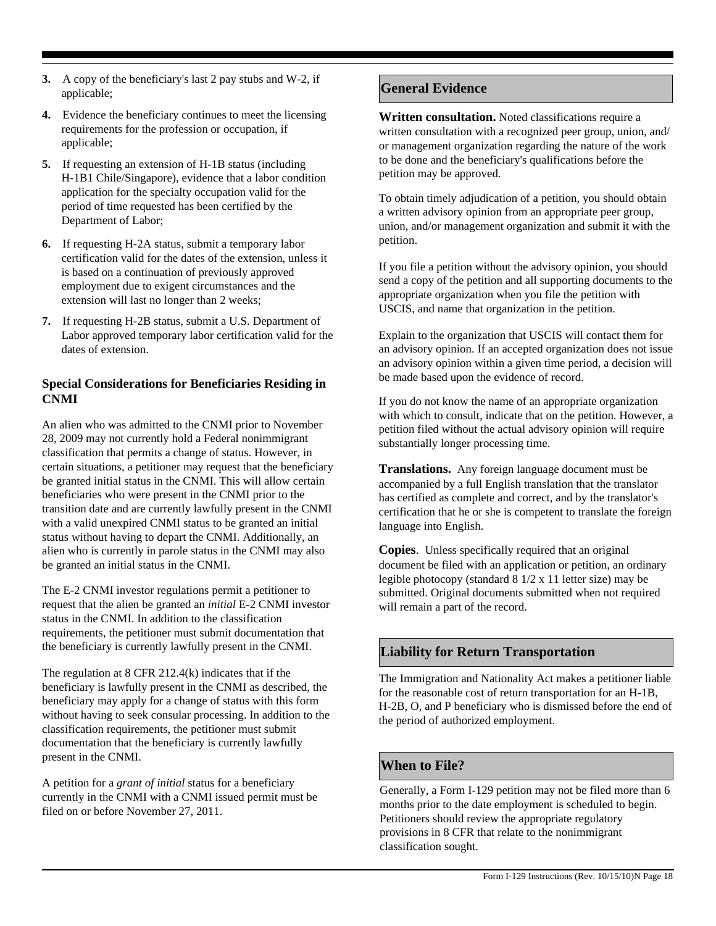- **3.** A copy of the beneficiary's last 2 pay stubs and W-2, if applicable;
- **4.** Evidence the beneficiary continues to meet the licensing requirements for the profession or occupation, if applicable;
- **5.** If requesting an extension of H-1B status (including H-1B1 Chile/Singapore), evidence that a labor condition application for the specialty occupation valid for the period of time requested has been certified by the Department of Labor;
- **6.** If requesting H-2A status, submit a temporary labor certification valid for the dates of the extension, unless it is based on a continuation of previously approved employment due to exigent circumstances and the extension will last no longer than 2 weeks;
- **7.** If requesting H-2B status, submit a U.S. Department of Labor approved temporary labor certification valid for the dates of extension.

### **Special Considerations for Beneficiaries Residing in CNMI**

An alien who was admitted to the CNMI prior to November 28, 2009 may not currently hold a Federal nonimmigrant classification that permits a change of status. However, in certain situations, a petitioner may request that the beneficiary be granted initial status in the CNMI. This will allow certain beneficiaries who were present in the CNMI prior to the transition date and are currently lawfully present in the CNMI with a valid unexpired CNMI status to be granted an initial status without having to depart the CNMI. Additionally, an alien who is currently in parole status in the CNMI may also be granted an initial status in the CNMI.

The E-2 CNMI investor regulations permit a petitioner to request that the alien be granted an *initial* E-2 CNMI investor status in the CNMI. In addition to the classification requirements, the petitioner must submit documentation that the beneficiary is currently lawfully present in the CNMI.

The regulation at 8 CFR 212.4(k) indicates that if the beneficiary is lawfully present in the CNMI as described, the beneficiary may apply for a change of status with this form without having to seek consular processing. In addition to the classification requirements, the petitioner must submit documentation that the beneficiary is currently lawfully present in the CNMI.

A petition for a *grant of initial* status for a beneficiary currently in the CNMI with a CNMI issued permit must be filed on or before November 27, 2011.

# **General Evidence**

**Written consultation.** Noted classifications require a written consultation with a recognized peer group, union, and/ or management organization regarding the nature of the work to be done and the beneficiary's qualifications before the petition may be approved.

To obtain timely adjudication of a petition, you should obtain a written advisory opinion from an appropriate peer group, union, and/or management organization and submit it with the petition.

If you file a petition without the advisory opinion, you should send a copy of the petition and all supporting documents to the appropriate organization when you file the petition with USCIS, and name that organization in the petition.

Explain to the organization that USCIS will contact them for an advisory opinion. If an accepted organization does not issue an advisory opinion within a given time period, a decision will be made based upon the evidence of record.

If you do not know the name of an appropriate organization with which to consult, indicate that on the petition. However, a petition filed without the actual advisory opinion will require substantially longer processing time.

**Translations.** Any foreign language document must be accompanied by a full English translation that the translator has certified as complete and correct, and by the translator's certification that he or she is competent to translate the foreign language into English.

**Copies**. Unless specifically required that an original document be filed with an application or petition, an ordinary legible photocopy (standard 8 1/2 x 11 letter size) may be submitted. Original documents submitted when not required will remain a part of the record.

# **Liability for Return Transportation**

The Immigration and Nationality Act makes a petitioner liable for the reasonable cost of return transportation for an H-1B, H-2B, O, and P beneficiary who is dismissed before the end of the period of authorized employment.

# **When to File?**

Generally, a Form I-129 petition may not be filed more than 6 months prior to the date employment is scheduled to begin. Petitioners should review the appropriate regulatory provisions in 8 CFR that relate to the nonimmigrant classification sought.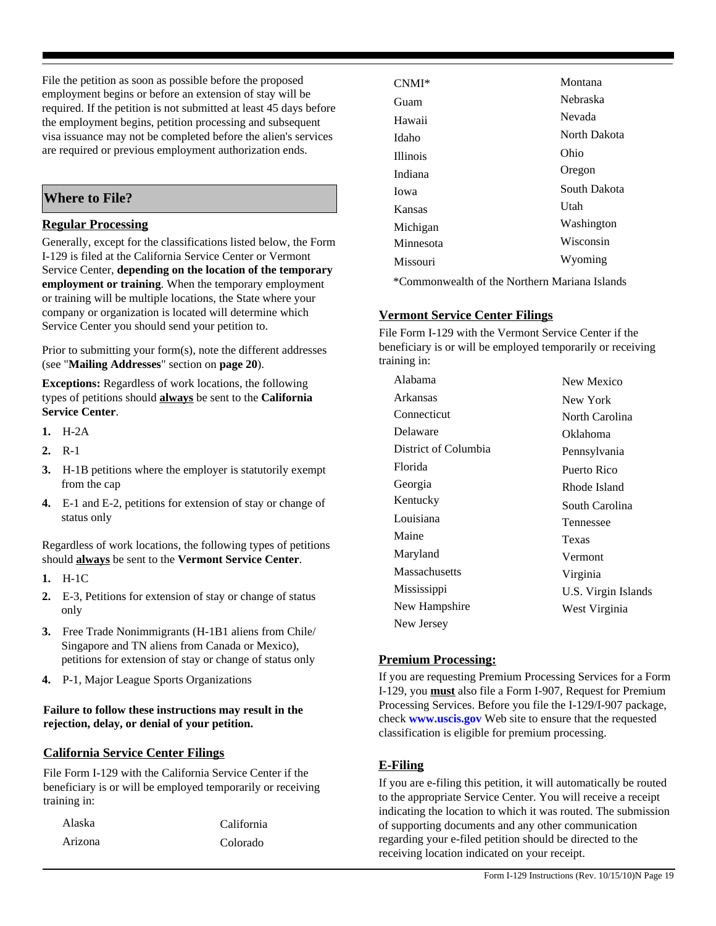File the petition as soon as possible before the proposed employment begins or before an extension of stay will be required. If the petition is not submitted at least 45 days before the employment begins, petition processing and subsequent visa issuance may not be completed before the alien's services are required or previous employment authorization ends.

# **Where to File?**

### **Regular Processing**

Generally, except for the classifications listed below, the Form I-129 is filed at the California Service Center or Vermont Service Center, **depending on the location of the temporary employment or training**. When the temporary employment or training will be multiple locations, the State where your company or organization is located will determine which Service Center you should send your petition to.

Prior to submitting your form(s), note the different addresses (see "**Mailing Addresses**" section on **page 20**).

**Exceptions:** Regardless of work locations, the following types of petitions should **always** be sent to the **California Service Center**.

- **1.** H-2A
- **2.** R-1
- **3.** H-1B petitions where the employer is statutorily exempt from the cap
- **4.** E-1 and E-2, petitions for extension of stay or change of status only

Regardless of work locations, the following types of petitions should **always** be sent to the **Vermont Service Center**.

- **1.** H-1C
- **2.** E-3, Petitions for extension of stay or change of status only
- **3.** Free Trade Nonimmigrants (H-1B1 aliens from Chile/ Singapore and TN aliens from Canada or Mexico), petitions for extension of stay or change of status only
- **4.** P-1, Major League Sports Organizations

#### **Failure to follow these instructions may result in the rejection, delay, or denial of your petition.**

### **California Service Center Filings**

File Form I-129 with the California Service Center if the beneficiary is or will be employed temporarily or receiving training in:

| Alaska  | California |
|---------|------------|
| Arizona | Colorado   |

| $CNMI^*$        | Montana      |
|-----------------|--------------|
| Guam            | Nebraska     |
| Hawaii          | Nevada       |
| Idaho           | North Dakota |
| <b>Illinois</b> | Ohio         |
| Indiana         | Oregon       |
| Jowa            | South Dakota |
| Kansas          | <b>Utah</b>  |
| Michigan        | Washington   |
| Minnesota       | Wisconsin    |
| Missouri        | Wyoming      |
|                 |              |

\*Commonwealth of the Northern Mariana Islands

### **Vermont Service Center Filings**

File Form I-129 with the Vermont Service Center if the beneficiary is or will be employed temporarily or receiving training in:

| Alabama              | New Mexico          |
|----------------------|---------------------|
| Arkansas             | New York            |
| Connecticut          | North Carolina      |
| Delaware             | Oklahoma            |
| District of Columbia | Pennsylvania        |
| Florida              | Puerto Rico         |
| Georgia              | Rhode Island        |
| Kentucky             | South Carolina      |
| Louisiana            | Tennessee           |
| Maine                | Texas               |
| Maryland             | Vermont             |
| Massachusetts        | Virginia            |
| Mississippi          | U.S. Virgin Islands |
| New Hampshire        | West Virginia       |
| New Jersey           |                     |

### **Premium Processing:**

If you are requesting Premium Processing Services for a Form I-129, you **must** also file a Form I-907, Request for Premium Processing Services. Before you file the I-129/I-907 package, check **www.uscis.gov** Web site to ensure that the requested classification is eligible for premium processing.

# **E-Filing**

If you are e-filing this petition, it will automatically be routed to the appropriate Service Center. You will receive a receipt indicating the location to which it was routed. The submission of supporting documents and any other communication regarding your e-filed petition should be directed to the receiving location indicated on your receipt.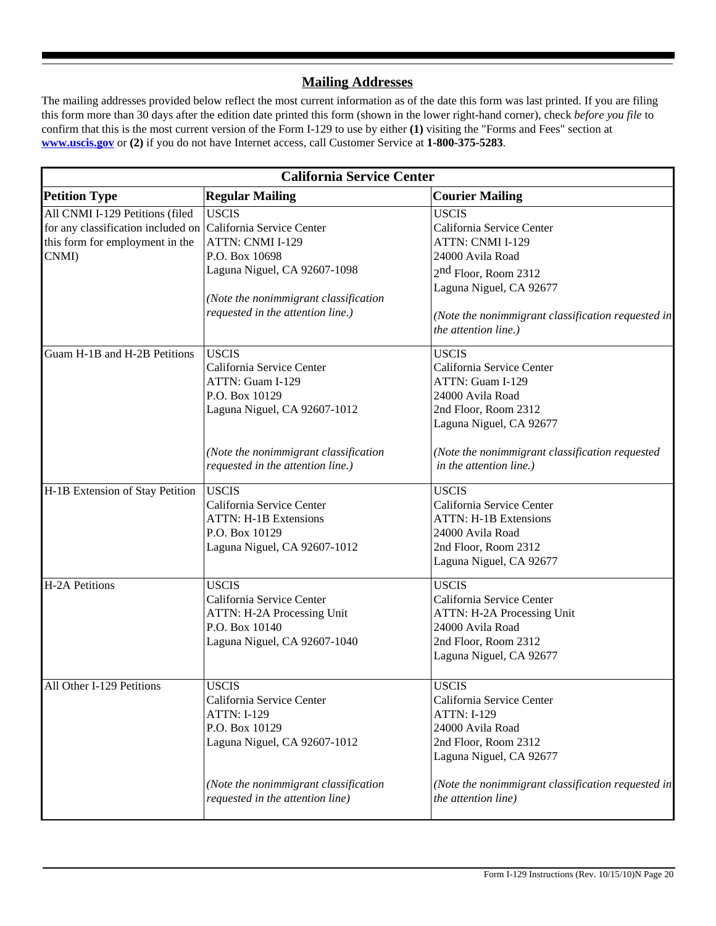# **Mailing Addresses**

The mailing addresses provided below reflect the most current information as of the date this form was last printed. If you are filing this form more than 30 days after the edition date printed this form (shown in the lower right-hand corner), check *before you file* to confirm that this is the most current version of the Form I-129 to use by either **(1)** visiting the "Forms and Fees" section at **www.uscis.gov** or **(2)** if you do not have Internet access, call Customer Service at **1-800-375-5283**.

| <b>California Service Center</b>                                                                                                                                                                                                    |                                                                                                                                                                                                                      |  |  |
|-------------------------------------------------------------------------------------------------------------------------------------------------------------------------------------------------------------------------------------|----------------------------------------------------------------------------------------------------------------------------------------------------------------------------------------------------------------------|--|--|
| <b>Regular Mailing</b>                                                                                                                                                                                                              | <b>Courier Mailing</b>                                                                                                                                                                                               |  |  |
| <b>USCIS</b><br>for any classification included on<br>California Service Center<br>ATTN: CNMI I-129<br>P.O. Box 10698<br>Laguna Niguel, CA 92607-1098<br>(Note the nonimmigrant classification<br>requested in the attention line.) | <b>USCIS</b><br>California Service Center<br>ATTN: CNMI I-129<br>24000 Avila Road<br>$2nd$ Floor, Room 2312<br>Laguna Niguel, CA 92677<br>(Note the nonimmigrant classification requested in<br>the attention line.) |  |  |
| <b>USCIS</b><br>California Service Center<br>ATTN: Guam I-129<br>P.O. Box 10129<br>Laguna Niguel, CA 92607-1012<br>(Note the nonimmigrant classification<br>requested in the attention line.)                                       | <b>USCIS</b><br>California Service Center<br>ATTN: Guam I-129<br>24000 Avila Road<br>2nd Floor, Room 2312<br>Laguna Niguel, CA 92677<br>(Note the nonimmigrant classification requested<br>in the attention line.)   |  |  |
| <b>USCIS</b><br>California Service Center<br><b>ATTN: H-1B Extensions</b><br>P.O. Box 10129<br>Laguna Niguel, CA 92607-1012                                                                                                         | <b>USCIS</b><br>California Service Center<br><b>ATTN: H-1B Extensions</b><br>24000 Avila Road<br>2nd Floor, Room 2312<br>Laguna Niguel, CA 92677                                                                     |  |  |
| <b>USCIS</b><br>California Service Center<br>ATTN: H-2A Processing Unit<br>P.O. Box 10140<br>Laguna Niguel, CA 92607-1040                                                                                                           | <b>USCIS</b><br>California Service Center<br>ATTN: H-2A Processing Unit<br>24000 Avila Road<br>2nd Floor, Room 2312<br>Laguna Niguel, CA 92677                                                                       |  |  |
| <b>USCIS</b><br>California Service Center<br><b>ATTN: I-129</b><br>P.O. Box 10129<br>Laguna Niguel, CA 92607-1012<br>(Note the nonimmigrant classification                                                                          | <b>USCIS</b><br>California Service Center<br><b>ATTN: I-129</b><br>24000 Avila Road<br>2nd Floor, Room 2312<br>Laguna Niguel, CA 92677<br>(Note the nonimmigrant classification requested in<br>the attention line)  |  |  |
|                                                                                                                                                                                                                                     | requested in the attention line)                                                                                                                                                                                     |  |  |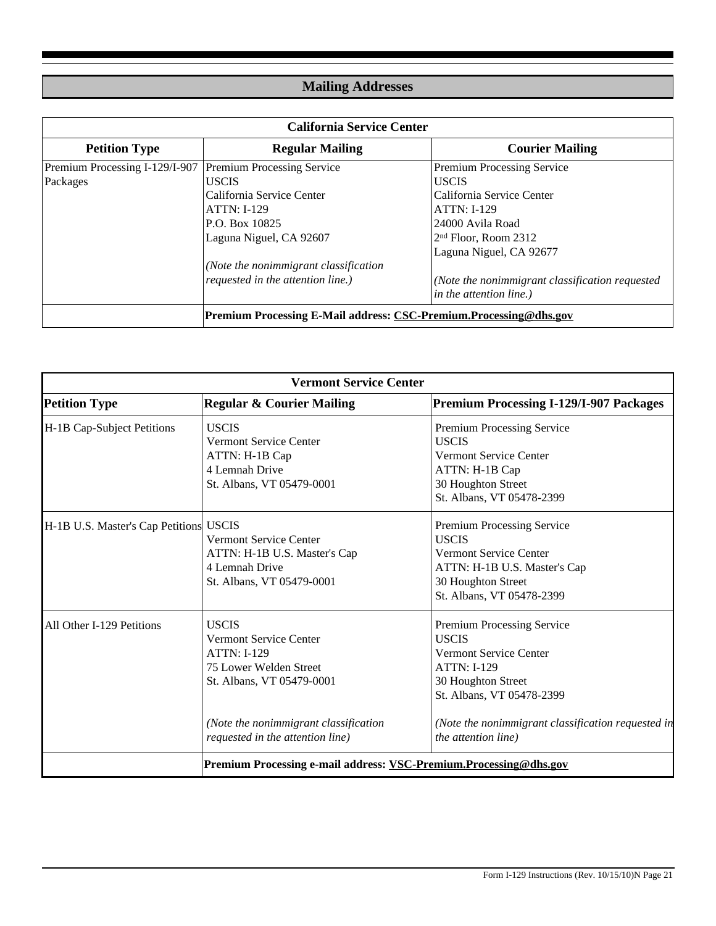# **Mailing Addresses**

| <b>California Service Center</b>                                         |                                       |                                                 |  |
|--------------------------------------------------------------------------|---------------------------------------|-------------------------------------------------|--|
| <b>Petition Type</b>                                                     | <b>Regular Mailing</b>                | <b>Courier Mailing</b>                          |  |
| Premium Processing I-129/I-907                                           | <b>Premium Processing Service</b>     | Premium Processing Service                      |  |
| Packages                                                                 | <b>USCIS</b>                          | <b>USCIS</b>                                    |  |
|                                                                          | California Service Center             | California Service Center                       |  |
|                                                                          | <b>ATTN: I-129</b>                    | <b>ATTN: I-129</b>                              |  |
|                                                                          | P.O. Box 10825                        | 24000 Avila Road                                |  |
|                                                                          | Laguna Niguel, CA 92607               | $2nd$ Floor, Room 2312                          |  |
|                                                                          |                                       | Laguna Niguel, CA 92677                         |  |
|                                                                          | (Note the nonimmigrant classification |                                                 |  |
|                                                                          | requested in the attention line.)     | (Note the nonimmigrant classification requested |  |
|                                                                          |                                       | in the attention line.)                         |  |
| <b>Premium Processing E-Mail address: CSC-Premium.Processing@dhs.gov</b> |                                       |                                                 |  |

| <b>Vermont Service Center</b>                                     |                                                                                                                                                                                                         |                                                                                                                                                                                                                                           |  |
|-------------------------------------------------------------------|---------------------------------------------------------------------------------------------------------------------------------------------------------------------------------------------------------|-------------------------------------------------------------------------------------------------------------------------------------------------------------------------------------------------------------------------------------------|--|
| <b>Petition Type</b>                                              | <b>Regular &amp; Courier Mailing</b>                                                                                                                                                                    | <b>Premium Processing I-129/I-907 Packages</b>                                                                                                                                                                                            |  |
| H-1B Cap-Subject Petitions                                        | <b>USCIS</b><br><b>Vermont Service Center</b><br>ATTN: H-1B Cap<br>4 Lemnah Drive<br>St. Albans, VT 05479-0001                                                                                          | Premium Processing Service<br><b>USCIS</b><br>Vermont Service Center<br>ATTN: H-1B Cap<br>30 Houghton Street<br>St. Albans, VT 05478-2399                                                                                                 |  |
| H-1B U.S. Master's Cap Petitions USCIS                            | <b>Vermont Service Center</b><br>ATTN: H-1B U.S. Master's Cap<br>4 Lemnah Drive<br>St. Albans, VT 05479-0001                                                                                            | Premium Processing Service<br><b>USCIS</b><br><b>Vermont Service Center</b><br>ATTN: H-1B U.S. Master's Cap<br>30 Houghton Street<br>St. Albans, VT 05478-2399                                                                            |  |
| All Other I-129 Petitions                                         | <b>USCIS</b><br><b>Vermont Service Center</b><br><b>ATTN: I-129</b><br>75 Lower Welden Street<br>St. Albans, VT 05479-0001<br>(Note the nonimmigrant classification<br>requested in the attention line) | Premium Processing Service<br><b>USCIS</b><br><b>Vermont Service Center</b><br><b>ATTN: I-129</b><br>30 Houghton Street<br>St. Albans, VT 05478-2399<br>(Note the nonimmigrant classification requested in<br><i>the attention line</i> ) |  |
| Premium Processing e-mail address: VSC-Premium.Processing@dhs.gov |                                                                                                                                                                                                         |                                                                                                                                                                                                                                           |  |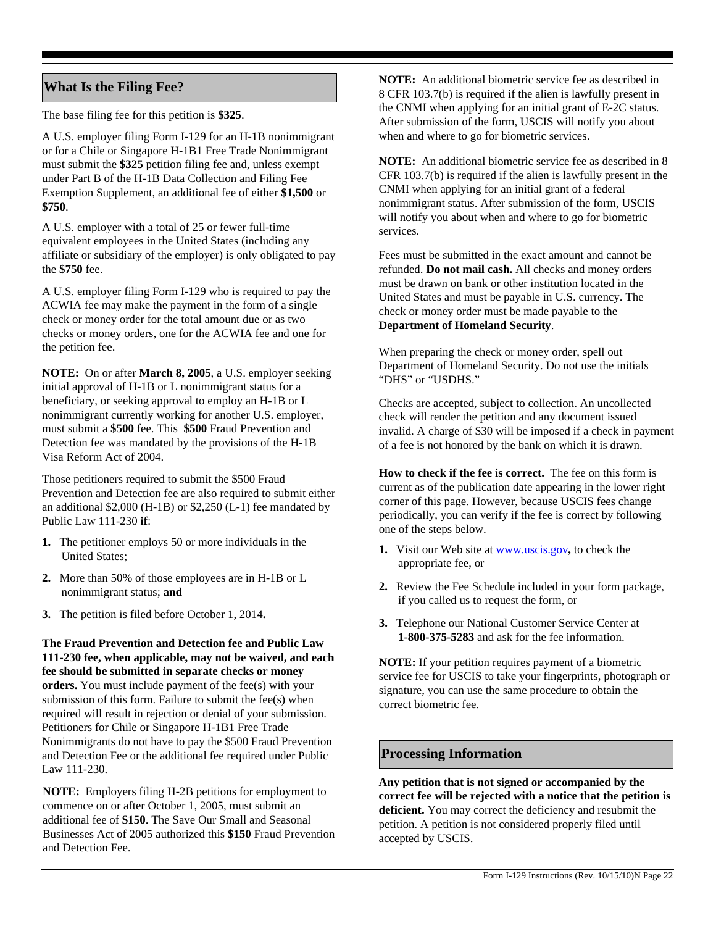# **What Is the Filing Fee?**

The base filing fee for this petition is **\$325**.

A U.S. employer filing Form I-129 for an H-1B nonimmigrant or for a Chile or Singapore H-1B1 Free Trade Nonimmigrant must submit the **\$325** petition filing fee and, unless exempt under Part B of the H-1B Data Collection and Filing Fee Exemption Supplement, an additional fee of either **\$1,500** or **\$750**.

A U.S. employer with a total of 25 or fewer full-time equivalent employees in the United States (including any affiliate or subsidiary of the employer) is only obligated to pay the **\$750** fee.

A U.S. employer filing Form I-129 who is required to pay the ACWIA fee may make the payment in the form of a single check or money order for the total amount due or as two checks or money orders, one for the ACWIA fee and one for the petition fee.

**NOTE:** On or after **March 8, 2005**, a U.S. employer seeking initial approval of H-1B or L nonimmigrant status for a beneficiary, or seeking approval to employ an H-1B or L nonimmigrant currently working for another U.S. employer, must submit a **\$500** fee. This **\$500** Fraud Prevention and Detection fee was mandated by the provisions of the H-1B Visa Reform Act of 2004.

Those petitioners required to submit the \$500 Fraud Prevention and Detection fee are also required to submit either an additional \$2,000 (H-1B) or \$2,250 (L-1) fee mandated by Public Law 111-230 **if**:

- **1.** The petitioner employs 50 or more individuals in the United States;
- **2.** More than 50% of those employees are in H-1B or L nonimmigrant status; **and**
- **3.** The petition is filed before October 1, 2014**.**

**The Fraud Prevention and Detection fee and Public Law 111-230 fee, when applicable, may not be waived, and each fee should be submitted in separate checks or money orders.** You must include payment of the fee(s) with your submission of this form. Failure to submit the fee(s) when required will result in rejection or denial of your submission. Petitioners for Chile or Singapore H-1B1 Free Trade Nonimmigrants do not have to pay the \$500 Fraud Prevention and Detection Fee or the additional fee required under Public Law 111-230.

**NOTE:** Employers filing H-2B petitions for employment to commence on or after October 1, 2005, must submit an additional fee of **\$150**. The Save Our Small and Seasonal Businesses Act of 2005 authorized this **\$150** Fraud Prevention and Detection Fee.

**NOTE:** An additional biometric service fee as described in 8 CFR 103.7(b) is required if the alien is lawfully present in the CNMI when applying for an initial grant of E-2C status. After submission of the form, USCIS will notify you about when and where to go for biometric services.

**NOTE:** An additional biometric service fee as described in 8 CFR 103.7(b) is required if the alien is lawfully present in the CNMI when applying for an initial grant of a federal nonimmigrant status. After submission of the form, USCIS will notify you about when and where to go for biometric services.

Fees must be submitted in the exact amount and cannot be refunded. **Do not mail cash.** All checks and money orders must be drawn on bank or other institution located in the United States and must be payable in U.S. currency. The check or money order must be made payable to the **Department of Homeland Security**.

When preparing the check or money order, spell out Department of Homeland Security. Do not use the initials "DHS" or "USDHS."

Checks are accepted, subject to collection. An uncollected check will render the petition and any document issued invalid. A charge of \$30 will be imposed if a check in payment of a fee is not honored by the bank on which it is drawn.

**How to check if the fee is correct.** The fee on this form is current as of the publication date appearing in the lower right corner of this page. However, because USCIS fees change periodically, you can verify if the fee is correct by following one of the steps below.

- **1.** Visit our Web site at www.uscis.gov**,** to check the appropriate fee, or
- **2.** Review the Fee Schedule included in your form package, if you called us to request the form, or
- **3.** Telephone our National Customer Service Center at **1-800-375-5283** and ask for the fee information.

**NOTE:** If your petition requires payment of a biometric service fee for USCIS to take your fingerprints, photograph or signature, you can use the same procedure to obtain the correct biometric fee.

# **Processing Information**

**Any petition that is not signed or accompanied by the correct fee will be rejected with a notice that the petition is deficient.** You may correct the deficiency and resubmit the petition. A petition is not considered properly filed until accepted by USCIS.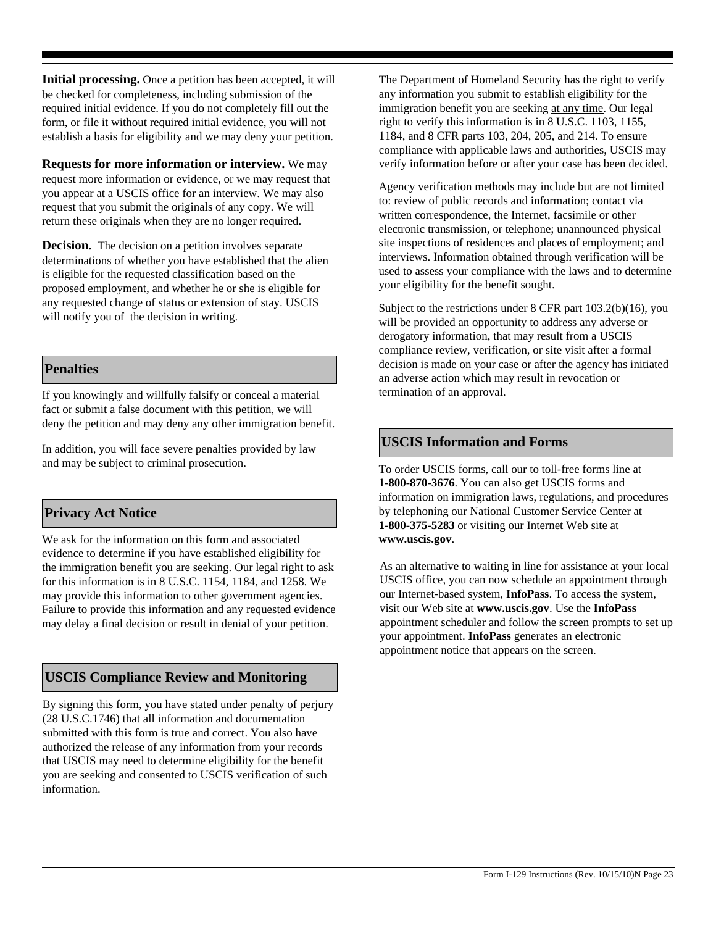**Initial processing.** Once a petition has been accepted, it will be checked for completeness, including submission of the required initial evidence. If you do not completely fill out the form, or file it without required initial evidence, you will not establish a basis for eligibility and we may deny your petition.

**Requests for more information or interview.** We may request more information or evidence, or we may request that you appear at a USCIS office for an interview. We may also request that you submit the originals of any copy. We will return these originals when they are no longer required.

**Decision.** The decision on a petition involves separate determinations of whether you have established that the alien is eligible for the requested classification based on the proposed employment, and whether he or she is eligible for any requested change of status or extension of stay. USCIS will notify you of the decision in writing.

# **Penalties**

If you knowingly and willfully falsify or conceal a material fact or submit a false document with this petition, we will deny the petition and may deny any other immigration benefit.

In addition, you will face severe penalties provided by law and may be subject to criminal prosecution.

# **Privacy Act Notice**

We ask for the information on this form and associated evidence to determine if you have established eligibility for the immigration benefit you are seeking. Our legal right to ask for this information is in 8 U.S.C. 1154, 1184, and 1258. We may provide this information to other government agencies. Failure to provide this information and any requested evidence may delay a final decision or result in denial of your petition.

# **USCIS Compliance Review and Monitoring**

By signing this form, you have stated under penalty of perjury (28 U.S.C.1746) that all information and documentation submitted with this form is true and correct. You also have authorized the release of any information from your records that USCIS may need to determine eligibility for the benefit you are seeking and consented to USCIS verification of such information.

The Department of Homeland Security has the right to verify any information you submit to establish eligibility for the immigration benefit you are seeking at any time. Our legal right to verify this information is in 8 U.S.C. 1103, 1155, 1184, and 8 CFR parts 103, 204, 205, and 214. To ensure compliance with applicable laws and authorities, USCIS may verify information before or after your case has been decided.

Agency verification methods may include but are not limited to: review of public records and information; contact via written correspondence, the Internet, facsimile or other electronic transmission, or telephone; unannounced physical site inspections of residences and places of employment; and interviews. Information obtained through verification will be used to assess your compliance with the laws and to determine your eligibility for the benefit sought.

Subject to the restrictions under 8 CFR part 103.2(b)(16), you will be provided an opportunity to address any adverse or derogatory information, that may result from a USCIS compliance review, verification, or site visit after a formal decision is made on your case or after the agency has initiated an adverse action which may result in revocation or termination of an approval.

### **USCIS Information and Forms**

To order USCIS forms, call our to toll-free forms line at **1-800-870-3676**. You can also get USCIS forms and information on immigration laws, regulations, and procedures by telephoning our National Customer Service Center at **1-800-375-5283** or visiting our Internet Web site at **www.uscis.gov**.

As an alternative to waiting in line for assistance at your local USCIS office, you can now schedule an appointment through our Internet-based system, **InfoPass**. To access the system, visit our Web site at **www.uscis.gov**. Use the **InfoPass**  appointment scheduler and follow the screen prompts to set up your appointment. **InfoPass** generates an electronic appointment notice that appears on the screen.